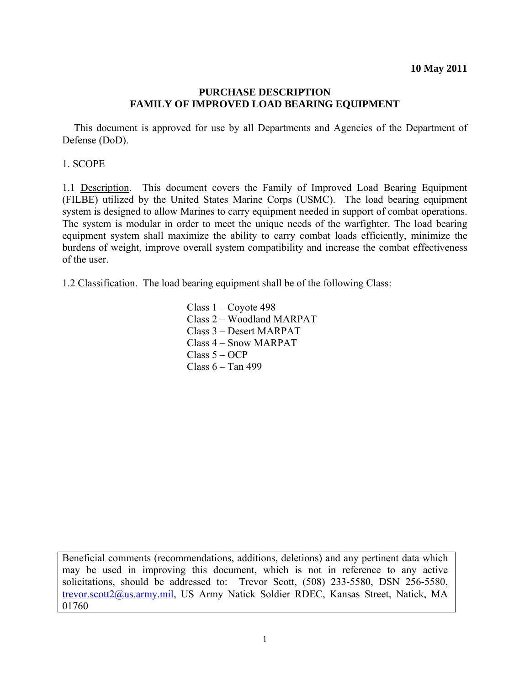#### **PURCHASE DESCRIPTION FAMILY OF IMPROVED LOAD BEARING EQUIPMENT**

This document is approved for use by all Departments and Agencies of the Department of Defense (DoD).

1. SCOPE

1.1 Description. This document covers the Family of Improved Load Bearing Equipment (FILBE) utilized by the United States Marine Corps (USMC). The load bearing equipment system is designed to allow Marines to carry equipment needed in support of combat operations. The system is modular in order to meet the unique needs of the warfighter. The load bearing equipment system shall maximize the ability to carry combat loads efficiently, minimize the burdens of weight, improve overall system compatibility and increase the combat effectiveness of the user.

1.2 Classification. The load bearing equipment shall be of the following Class:

 Class 1 – Coyote 498 Class 2 – Woodland MARPAT Class 3 – Desert MARPAT Class 4 – Snow MARPAT Class 5 – OCP Class 6 – Tan 499

Beneficial comments (recommendations, additions, deletions) and any pertinent data which may be used in improving this document, which is not in reference to any active solicitations, should be addressed to: Trevor Scott, (508) 233-5580, DSN 256-5580, trevor.scott2@us.army.mil, US Army Natick Soldier RDEC, Kansas Street, Natick, MA 01760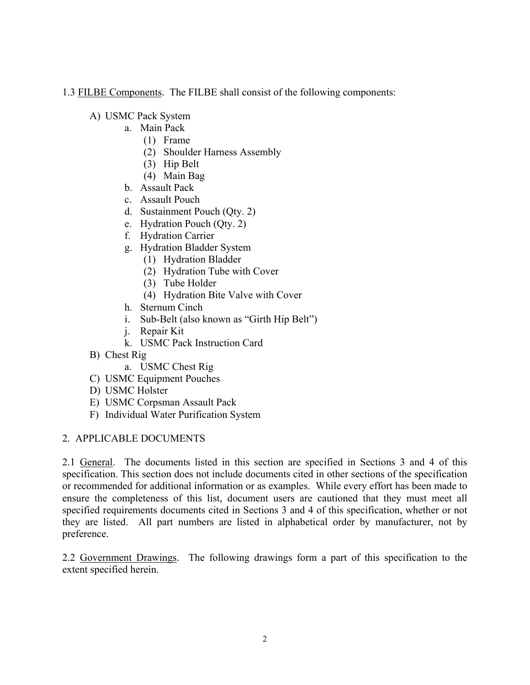1.3 FILBE Components. The FILBE shall consist of the following components:

A) USMC Pack System

- a. Main Pack
	- (1) Frame
	- (2) Shoulder Harness Assembly
	- (3) Hip Belt
	- (4) Main Bag
- b. Assault Pack
- c. Assault Pouch
- d. Sustainment Pouch (Qty. 2)
- e. Hydration Pouch (Qty. 2)
- f. Hydration Carrier
- g. Hydration Bladder System
	- (1) Hydration Bladder
	- (2) Hydration Tube with Cover
	- (3) Tube Holder
	- (4) Hydration Bite Valve with Cover
- h. Sternum Cinch
- i. Sub-Belt (also known as "Girth Hip Belt")
- j. Repair Kit
- k. USMC Pack Instruction Card
- B) Chest Rig
	- a. USMC Chest Rig
- C) USMC Equipment Pouches
- D) USMC Holster
- E) USMC Corpsman Assault Pack
- F) Individual Water Purification System

## 2. APPLICABLE DOCUMENTS

2.1 General. The documents listed in this section are specified in Sections 3 and 4 of this specification. This section does not include documents cited in other sections of the specification or recommended for additional information or as examples. While every effort has been made to ensure the completeness of this list, document users are cautioned that they must meet all specified requirements documents cited in Sections 3 and 4 of this specification, whether or not they are listed. All part numbers are listed in alphabetical order by manufacturer, not by preference.

2.2 Government Drawings. The following drawings form a part of this specification to the extent specified herein.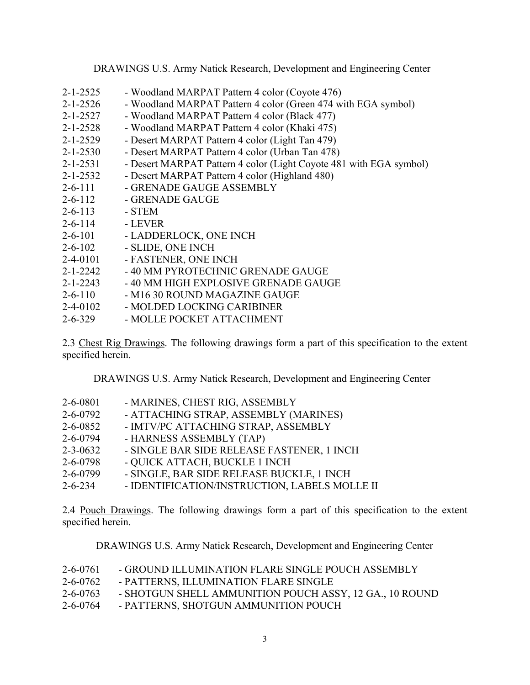DRAWINGS U.S. Army Natick Research, Development and Engineering Center

2.3 Chest Rig Drawings. The following drawings form a part of this specification to the extent specified herein.

DRAWINGS U.S. Army Natick Research, Development and Engineering Center

| $2 - 6 - 0801$ | - MARINES, CHEST RIG, ASSEMBLY             |
|----------------|--------------------------------------------|
| $2 - 6 - 0792$ | - ATTACHING STRAP, ASSEMBLY (MARINES)      |
| $2 - 6 - 0852$ | - IMTV/PC ATTACHING STRAP, ASSEMBLY        |
| $2 - 6 - 0794$ | - HARNESS ASSEMBLY (TAP)                   |
| $2 - 3 - 0632$ | - SINGLE BAR SIDE RELEASE FASTENER, 1 INCH |
| $2 - 6 - 0798$ | - QUICK ATTACH, BUCKLE 1 INCH              |
| $2 - 6 - 0799$ | - SINGLE, BAR SIDE RELEASE BUCKLE, 1 INCH  |
|                | IR ELIBITIO LEIOLIN IOBRITOBIOLI I L'ESTO  |

2-6-234 - IDENTIFICATION/INSTRUCTION, LABELS MOLLE II

2.4 Pouch Drawings. The following drawings form a part of this specification to the extent specified herein.

DRAWINGS U.S. Army Natick Research, Development and Engineering Center

| $2 - 6 - 0761$ | - GROUND ILLUMINATION FLARE SINGLE POUCH ASSEMBLY       |
|----------------|---------------------------------------------------------|
| $2 - 6 - 0762$ | - PATTERNS, ILLUMINATION FLARE SINGLE                   |
| $2 - 6 - 0763$ | - SHOTGUN SHELL AMMUNITION POUCH ASSY, 12 GA., 10 ROUND |
| $2 - 6 - 0764$ | - PATTERNS, SHOTGUN AMMUNITION POUCH                    |

3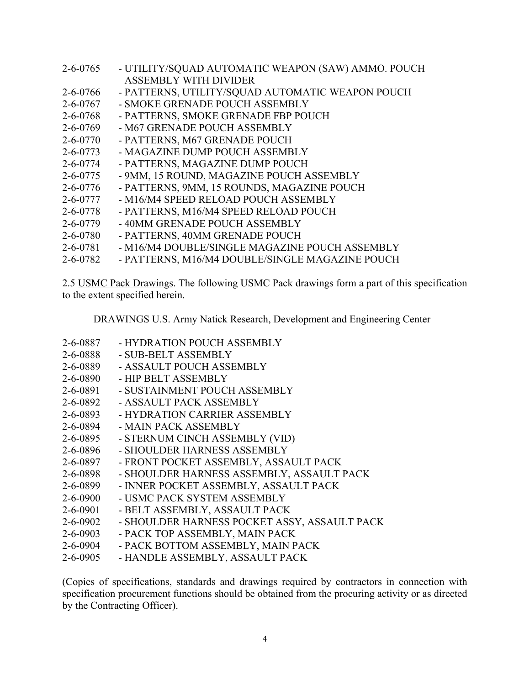| - UTILITY/SQUAD AUTOMATIC WEAPON (SAW) AMMO. POUCH |
|----------------------------------------------------|
| <b>ASSEMBLY WITH DIVIDER</b>                       |
| - PATTERNS, UTILITY/SQUAD AUTOMATIC WEAPON POUCH   |
| - SMOKE GRENADE POUCH ASSEMBLY                     |
| - PATTERNS, SMOKE GRENADE FBP POUCH                |
| - M67 GRENADE POUCH ASSEMBLY                       |
| - PATTERNS, M67 GRENADE POUCH                      |
| - MAGAZINE DUMP POUCH ASSEMBLY                     |
| - PATTERNS, MAGAZINE DUMP POUCH                    |
| - 9MM, 15 ROUND, MAGAZINE POUCH ASSEMBLY           |
| - PATTERNS, 9MM, 15 ROUNDS, MAGAZINE POUCH         |
| - M16/M4 SPEED RELOAD POUCH ASSEMBLY               |
| - PATTERNS, M16/M4 SPEED RELOAD POUCH              |
| - 40MM GRENADE POUCH ASSEMBLY                      |
| - PATTERNS, 40MM GRENADE POUCH                     |
| - M16/M4 DOUBLE/SINGLE MAGAZINE POUCH ASSEMBLY     |
| - PATTERNS, M16/M4 DOUBLE/SINGLE MAGAZINE POUCH    |
|                                                    |

2.5 USMC Pack Drawings. The following USMC Pack drawings form a part of this specification to the extent specified herein.

DRAWINGS U.S. Army Natick Research, Development and Engineering Center

| 2-6-0887       | - HYDRATION POUCH ASSEMBLY                   |
|----------------|----------------------------------------------|
| 2-6-0888       | - SUB-BELT ASSEMBLY                          |
| 2-6-0889       | - ASSAULT POUCH ASSEMBLY                     |
| $2 - 6 - 0890$ | - HIP BELT ASSEMBLY                          |
| 2-6-0891       | - SUSTAINMENT POUCH ASSEMBLY                 |
| $2 - 6 - 0892$ | - ASSAULT PACK ASSEMBLY                      |
| 2-6-0893       | - HYDRATION CARRIER ASSEMBLY                 |
| 2-6-0894       | - MAIN PACK ASSEMBLY                         |
| $2 - 6 - 0895$ | - STERNUM CINCH ASSEMBLY (VID)               |
| 2-6-0896       | - SHOULDER HARNESS ASSEMBLY                  |
| 2-6-0897       | - FRONT POCKET ASSEMBLY, ASSAULT PACK        |
| 2-6-0898       | - SHOULDER HARNESS ASSEMBLY, ASSAULT PACK    |
| $2 - 6 - 0899$ | - INNER POCKET ASSEMBLY, ASSAULT PACK        |
| $2 - 6 - 0900$ | - USMC PACK SYSTEM ASSEMBLY                  |
| $2 - 6 - 0901$ | - BELT ASSEMBLY, ASSAULT PACK                |
| $2 - 6 - 0902$ | - SHOULDER HARNESS POCKET ASSY, ASSAULT PACK |
| $2 - 6 - 0903$ | - PACK TOP ASSEMBLY, MAIN PACK               |

- 2-6-0904 PACK BOTTOM ASSEMBLY, MAIN PACK
- 2-6-0905 HANDLE ASSEMBLY, ASSAULT PACK

(Copies of specifications, standards and drawings required by contractors in connection with specification procurement functions should be obtained from the procuring activity or as directed by the Contracting Officer).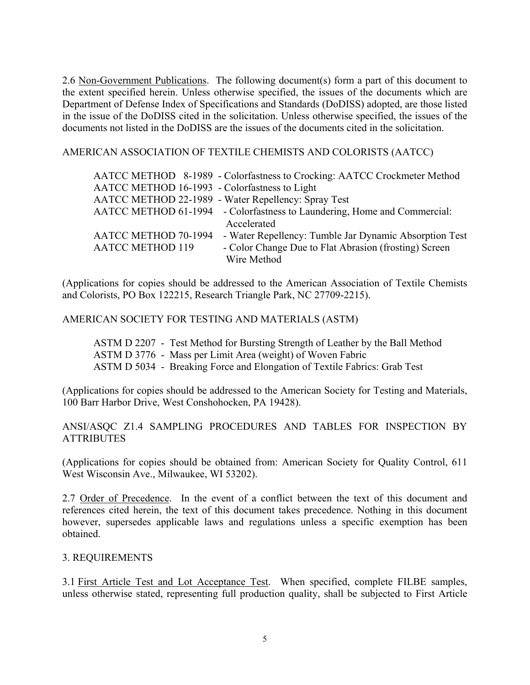2.6 Non-Government Publications. The following document(s) form a part of this document to the extent specified herein. Unless otherwise specified, the issues of the documents which are Department of Defense Index of Specifications and Standards (DoDISS) adopted, are those listed in the issue of the DoDISS cited in the solicitation. Unless otherwise specified, the issues of the documents not listed in the DoDISS are the issues of the documents cited in the solicitation.

AMERICAN ASSOCIATION OF TEXTILE CHEMISTS AND COLORISTS (AATCC)

|                                               | AATCC METHOD 8-1989 - Colorfastness to Crocking: AATCC Crockmeter Method |
|-----------------------------------------------|--------------------------------------------------------------------------|
| AATCC METHOD 16-1993 - Colorfastness to Light |                                                                          |
|                                               | AATCC METHOD 22-1989 - Water Repellency: Spray Test                      |
|                                               | AATCC METHOD 61-1994 - Colorfastness to Laundering, Home and Commercial: |
|                                               | Accelerated                                                              |
| AATCC METHOD 70-1994                          | - Water Repellency: Tumble Jar Dynamic Absorption Test                   |
| <b>AATCC METHOD 119</b>                       | - Color Change Due to Flat Abrasion (frosting) Screen                    |
|                                               | Wire Method                                                              |

(Applications for copies should be addressed to the American Association of Textile Chemists and Colorists, PO Box 122215, Research Triangle Park, NC 27709-2215).

### AMERICAN SOCIETY FOR TESTING AND MATERIALS (ASTM)

 ASTM D 2207 - Test Method for Bursting Strength of Leather by the Ball Method ASTM D 3776 - Mass per Limit Area (weight) of Woven Fabric ASTM D 5034 - Breaking Force and Elongation of Textile Fabrics: Grab Test

(Applications for copies should be addressed to the American Society for Testing and Materials, 100 Barr Harbor Drive, West Conshohocken, PA 19428).

ANSI/ASQC Z1.4 SAMPLING PROCEDURES AND TABLES FOR INSPECTION BY **ATTRIBUTES** 

(Applications for copies should be obtained from: American Society for Quality Control, 611 West Wisconsin Ave., Milwaukee, WI 53202).

2.7 Order of Precedence. In the event of a conflict between the text of this document and references cited herein, the text of this document takes precedence. Nothing in this document however, supersedes applicable laws and regulations unless a specific exemption has been obtained.

#### 3. REQUIREMENTS

3.1 First Article Test and Lot Acceptance Test. When specified, complete FILBE samples, unless otherwise stated, representing full production quality, shall be subjected to First Article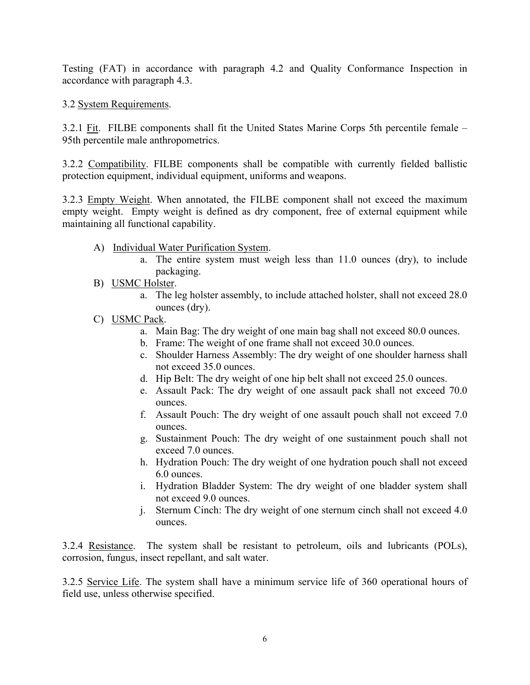Testing (FAT) in accordance with paragraph 4.2 and Quality Conformance Inspection in accordance with paragraph 4.3.

3.2 System Requirements.

3.2.1 Fit. FILBE components shall fit the United States Marine Corps 5th percentile female – 95th percentile male anthropometrics.

3.2.2 Compatibility. FILBE components shall be compatible with currently fielded ballistic protection equipment, individual equipment, uniforms and weapons.

3.2.3 Empty Weight. When annotated, the FILBE component shall not exceed the maximum empty weight. Empty weight is defined as dry component, free of external equipment while maintaining all functional capability.

- A) Individual Water Purification System.
	- a. The entire system must weigh less than 11.0 ounces (dry), to include packaging.
- B) USMC Holster.
	- a. The leg holster assembly, to include attached holster, shall not exceed 28.0 ounces (dry).
- C) USMC Pack.
	- a. Main Bag: The dry weight of one main bag shall not exceed 80.0 ounces.
	- b. Frame: The weight of one frame shall not exceed 30.0 ounces.
	- c. Shoulder Harness Assembly: The dry weight of one shoulder harness shall not exceed 35.0 ounces.
	- d. Hip Belt: The dry weight of one hip belt shall not exceed 25.0 ounces.
	- e. Assault Pack: The dry weight of one assault pack shall not exceed 70.0 ounces.
	- f. Assault Pouch: The dry weight of one assault pouch shall not exceed 7.0 ounces.
	- g. Sustainment Pouch: The dry weight of one sustainment pouch shall not exceed 7.0 ounces.
	- h. Hydration Pouch: The dry weight of one hydration pouch shall not exceed 6.0 ounces.
	- i. Hydration Bladder System: The dry weight of one bladder system shall not exceed 9.0 ounces.
	- j. Sternum Cinch: The dry weight of one sternum cinch shall not exceed 4.0 ounces.

3.2.4 Resistance. The system shall be resistant to petroleum, oils and lubricants (POLs), corrosion, fungus, insect repellant, and salt water.

3.2.5 Service Life. The system shall have a minimum service life of 360 operational hours of field use, unless otherwise specified.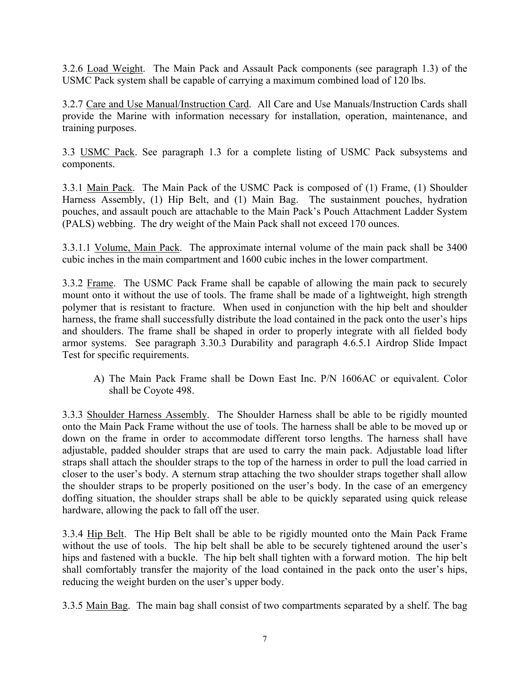3.2.6 Load Weight. The Main Pack and Assault Pack components (see paragraph 1.3) of the USMC Pack system shall be capable of carrying a maximum combined load of 120 lbs.

3.2.7 Care and Use Manual/Instruction Card. All Care and Use Manuals/Instruction Cards shall provide the Marine with information necessary for installation, operation, maintenance, and training purposes.

3.3 USMC Pack. See paragraph 1.3 for a complete listing of USMC Pack subsystems and components.

3.3.1 Main Pack. The Main Pack of the USMC Pack is composed of (1) Frame, (1) Shoulder Harness Assembly, (1) Hip Belt, and (1) Main Bag. The sustainment pouches, hydration pouches, and assault pouch are attachable to the Main Pack's Pouch Attachment Ladder System (PALS) webbing. The dry weight of the Main Pack shall not exceed 170 ounces.

3.3.1.1 Volume, Main Pack. The approximate internal volume of the main pack shall be 3400 cubic inches in the main compartment and 1600 cubic inches in the lower compartment.

3.3.2 Frame. The USMC Pack Frame shall be capable of allowing the main pack to securely mount onto it without the use of tools. The frame shall be made of a lightweight, high strength polymer that is resistant to fracture. When used in conjunction with the hip belt and shoulder harness, the frame shall successfully distribute the load contained in the pack onto the user's hips and shoulders. The frame shall be shaped in order to properly integrate with all fielded body armor systems. See paragraph 3.30.3 Durability and paragraph 4.6.5.1 Airdrop Slide Impact Test for specific requirements.

A) The Main Pack Frame shall be Down East Inc. P/N 1606AC or equivalent. Color shall be Coyote 498.

3.3.3 Shoulder Harness Assembly. The Shoulder Harness shall be able to be rigidly mounted onto the Main Pack Frame without the use of tools. The harness shall be able to be moved up or down on the frame in order to accommodate different torso lengths. The harness shall have adjustable, padded shoulder straps that are used to carry the main pack. Adjustable load lifter straps shall attach the shoulder straps to the top of the harness in order to pull the load carried in closer to the user's body. A sternum strap attaching the two shoulder straps together shall allow the shoulder straps to be properly positioned on the user's body. In the case of an emergency doffing situation, the shoulder straps shall be able to be quickly separated using quick release hardware, allowing the pack to fall off the user.

3.3.4 Hip Belt. The Hip Belt shall be able to be rigidly mounted onto the Main Pack Frame without the use of tools. The hip belt shall be able to be securely tightened around the user's hips and fastened with a buckle. The hip belt shall tighten with a forward motion. The hip belt shall comfortably transfer the majority of the load contained in the pack onto the user's hips, reducing the weight burden on the user's upper body.

3.3.5 Main Bag. The main bag shall consist of two compartments separated by a shelf. The bag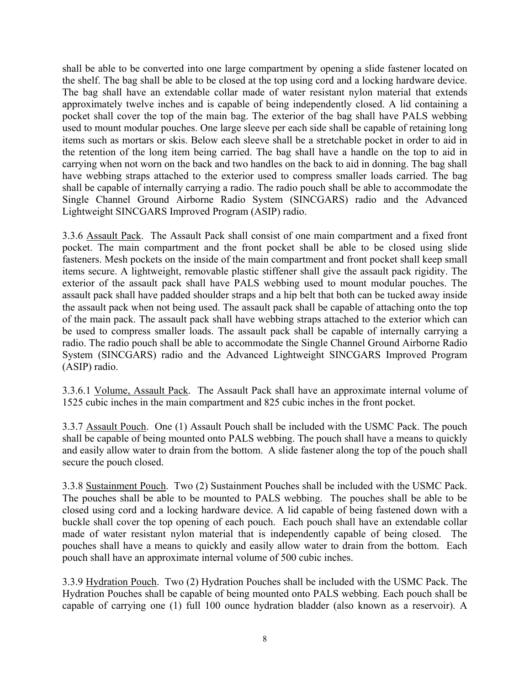shall be able to be converted into one large compartment by opening a slide fastener located on the shelf. The bag shall be able to be closed at the top using cord and a locking hardware device. The bag shall have an extendable collar made of water resistant nylon material that extends approximately twelve inches and is capable of being independently closed. A lid containing a pocket shall cover the top of the main bag. The exterior of the bag shall have PALS webbing used to mount modular pouches. One large sleeve per each side shall be capable of retaining long items such as mortars or skis. Below each sleeve shall be a stretchable pocket in order to aid in the retention of the long item being carried. The bag shall have a handle on the top to aid in carrying when not worn on the back and two handles on the back to aid in donning. The bag shall have webbing straps attached to the exterior used to compress smaller loads carried. The bag shall be capable of internally carrying a radio. The radio pouch shall be able to accommodate the Single Channel Ground Airborne Radio System (SINCGARS) radio and the Advanced Lightweight SINCGARS Improved Program (ASIP) radio.

3.3.6 Assault Pack. The Assault Pack shall consist of one main compartment and a fixed front pocket. The main compartment and the front pocket shall be able to be closed using slide fasteners. Mesh pockets on the inside of the main compartment and front pocket shall keep small items secure. A lightweight, removable plastic stiffener shall give the assault pack rigidity. The exterior of the assault pack shall have PALS webbing used to mount modular pouches. The assault pack shall have padded shoulder straps and a hip belt that both can be tucked away inside the assault pack when not being used. The assault pack shall be capable of attaching onto the top of the main pack. The assault pack shall have webbing straps attached to the exterior which can be used to compress smaller loads. The assault pack shall be capable of internally carrying a radio. The radio pouch shall be able to accommodate the Single Channel Ground Airborne Radio System (SINCGARS) radio and the Advanced Lightweight SINCGARS Improved Program (ASIP) radio.

3.3.6.1 Volume, Assault Pack. The Assault Pack shall have an approximate internal volume of 1525 cubic inches in the main compartment and 825 cubic inches in the front pocket.

3.3.7 Assault Pouch. One (1) Assault Pouch shall be included with the USMC Pack. The pouch shall be capable of being mounted onto PALS webbing. The pouch shall have a means to quickly and easily allow water to drain from the bottom. A slide fastener along the top of the pouch shall secure the pouch closed.

3.3.8 Sustainment Pouch. Two (2) Sustainment Pouches shall be included with the USMC Pack. The pouches shall be able to be mounted to PALS webbing. The pouches shall be able to be closed using cord and a locking hardware device. A lid capable of being fastened down with a buckle shall cover the top opening of each pouch. Each pouch shall have an extendable collar made of water resistant nylon material that is independently capable of being closed. The pouches shall have a means to quickly and easily allow water to drain from the bottom. Each pouch shall have an approximate internal volume of 500 cubic inches.

3.3.9 Hydration Pouch. Two (2) Hydration Pouches shall be included with the USMC Pack. The Hydration Pouches shall be capable of being mounted onto PALS webbing. Each pouch shall be capable of carrying one (1) full 100 ounce hydration bladder (also known as a reservoir). A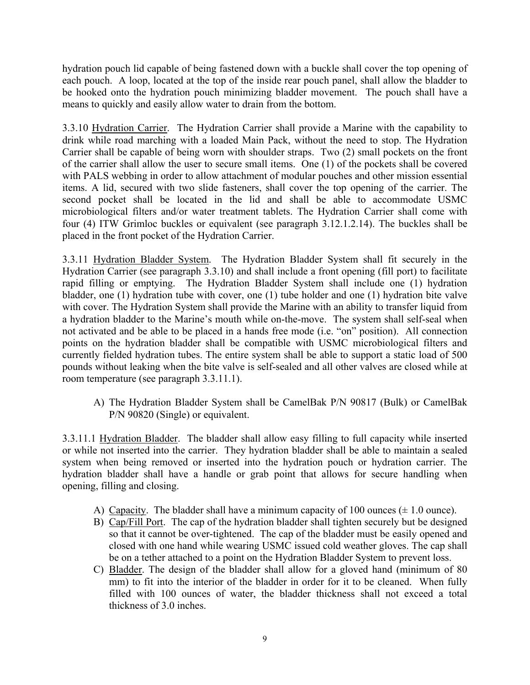hydration pouch lid capable of being fastened down with a buckle shall cover the top opening of each pouch. A loop, located at the top of the inside rear pouch panel, shall allow the bladder to be hooked onto the hydration pouch minimizing bladder movement. The pouch shall have a means to quickly and easily allow water to drain from the bottom.

3.3.10 Hydration Carrier. The Hydration Carrier shall provide a Marine with the capability to drink while road marching with a loaded Main Pack, without the need to stop. The Hydration Carrier shall be capable of being worn with shoulder straps. Two (2) small pockets on the front of the carrier shall allow the user to secure small items. One (1) of the pockets shall be covered with PALS webbing in order to allow attachment of modular pouches and other mission essential items. A lid, secured with two slide fasteners, shall cover the top opening of the carrier. The second pocket shall be located in the lid and shall be able to accommodate USMC microbiological filters and/or water treatment tablets. The Hydration Carrier shall come with four (4) ITW Grimloc buckles or equivalent (see paragraph 3.12.1.2.14). The buckles shall be placed in the front pocket of the Hydration Carrier.

3.3.11 Hydration Bladder System. The Hydration Bladder System shall fit securely in the Hydration Carrier (see paragraph 3.3.10) and shall include a front opening (fill port) to facilitate rapid filling or emptying. The Hydration Bladder System shall include one (1) hydration bladder, one (1) hydration tube with cover, one (1) tube holder and one (1) hydration bite valve with cover. The Hydration System shall provide the Marine with an ability to transfer liquid from a hydration bladder to the Marine's mouth while on-the-move. The system shall self-seal when not activated and be able to be placed in a hands free mode (i.e. "on" position). All connection points on the hydration bladder shall be compatible with USMC microbiological filters and currently fielded hydration tubes. The entire system shall be able to support a static load of 500 pounds without leaking when the bite valve is self-sealed and all other valves are closed while at room temperature (see paragraph 3.3.11.1).

A) The Hydration Bladder System shall be CamelBak P/N 90817 (Bulk) or CamelBak P/N 90820 (Single) or equivalent.

3.3.11.1 Hydration Bladder. The bladder shall allow easy filling to full capacity while inserted or while not inserted into the carrier. They hydration bladder shall be able to maintain a sealed system when being removed or inserted into the hydration pouch or hydration carrier. The hydration bladder shall have a handle or grab point that allows for secure handling when opening, filling and closing.

- A) Capacity. The bladder shall have a minimum capacity of 100 ounces ( $\pm$  1.0 ounce).
- B) Cap/Fill Port. The cap of the hydration bladder shall tighten securely but be designed so that it cannot be over-tightened. The cap of the bladder must be easily opened and closed with one hand while wearing USMC issued cold weather gloves. The cap shall be on a tether attached to a point on the Hydration Bladder System to prevent loss.
- C) Bladder. The design of the bladder shall allow for a gloved hand (minimum of 80 mm) to fit into the interior of the bladder in order for it to be cleaned. When fully filled with 100 ounces of water, the bladder thickness shall not exceed a total thickness of 3.0 inches.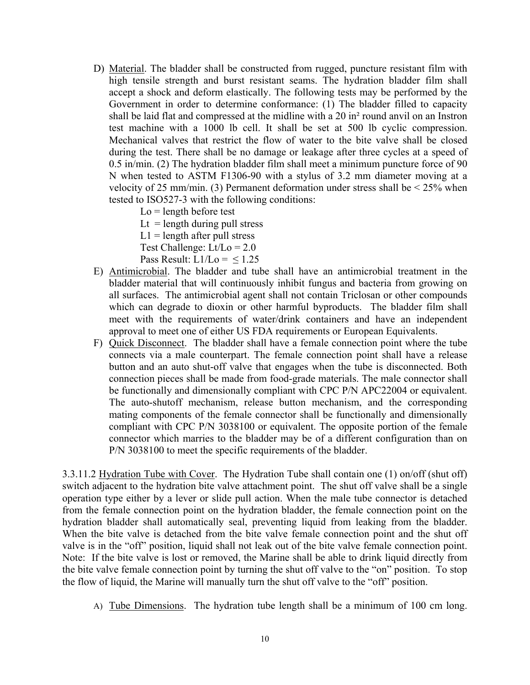- D) Material. The bladder shall be constructed from rugged, puncture resistant film with high tensile strength and burst resistant seams. The hydration bladder film shall accept a shock and deform elastically. The following tests may be performed by the Government in order to determine conformance: (1) The bladder filled to capacity shall be laid flat and compressed at the midline with a 20 in² round anvil on an Instron test machine with a 1000 lb cell. It shall be set at 500 lb cyclic compression. Mechanical valves that restrict the flow of water to the bite valve shall be closed during the test. There shall be no damage or leakage after three cycles at a speed of 0.5 in/min. (2) The hydration bladder film shall meet a minimum puncture force of 90 N when tested to ASTM F1306-90 with a stylus of 3.2 mm diameter moving at a velocity of 25 mm/min. (3) Permanent deformation under stress shall be  $<$  25% when tested to ISO527-3 with the following conditions:
	- $Lo = length$  before test
	- Lt = length during pull stress
	- $L1$  = length after pull stress

Test Challenge:  $Lt/Lo = 2.0$ 

Pass Result:  $L1/Lo = 1.25$ 

- E) Antimicrobial. The bladder and tube shall have an antimicrobial treatment in the bladder material that will continuously inhibit fungus and bacteria from growing on all surfaces. The antimicrobial agent shall not contain Triclosan or other compounds which can degrade to dioxin or other harmful byproducts. The bladder film shall meet with the requirements of water/drink containers and have an independent approval to meet one of either US FDA requirements or European Equivalents.
- F) Quick Disconnect. The bladder shall have a female connection point where the tube connects via a male counterpart. The female connection point shall have a release button and an auto shut-off valve that engages when the tube is disconnected. Both connection pieces shall be made from food-grade materials. The male connector shall be functionally and dimensionally compliant with CPC P/N APC22004 or equivalent. The auto-shutoff mechanism, release button mechanism, and the corresponding mating components of the female connector shall be functionally and dimensionally compliant with CPC P/N 3038100 or equivalent. The opposite portion of the female connector which marries to the bladder may be of a different configuration than on P/N 3038100 to meet the specific requirements of the bladder.

3.3.11.2 Hydration Tube with Cover. The Hydration Tube shall contain one (1) on/off (shut off) switch adjacent to the hydration bite valve attachment point. The shut off valve shall be a single operation type either by a lever or slide pull action. When the male tube connector is detached from the female connection point on the hydration bladder, the female connection point on the hydration bladder shall automatically seal, preventing liquid from leaking from the bladder. When the bite valve is detached from the bite valve female connection point and the shut off valve is in the "off" position, liquid shall not leak out of the bite valve female connection point. Note: If the bite valve is lost or removed, the Marine shall be able to drink liquid directly from the bite valve female connection point by turning the shut off valve to the "on" position. To stop the flow of liquid, the Marine will manually turn the shut off valve to the "off" position.

A) Tube Dimensions. The hydration tube length shall be a minimum of 100 cm long.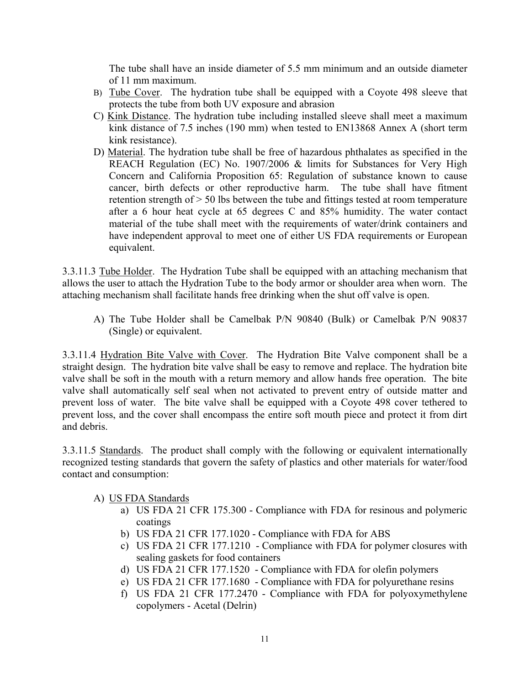The tube shall have an inside diameter of 5.5 mm minimum and an outside diameter of 11 mm maximum.

- B) Tube Cover. The hydration tube shall be equipped with a Coyote 498 sleeve that protects the tube from both UV exposure and abrasion
- C) Kink Distance. The hydration tube including installed sleeve shall meet a maximum kink distance of 7.5 inches (190 mm) when tested to EN13868 Annex A (short term kink resistance).
- D) Material. The hydration tube shall be free of hazardous phthalates as specified in the REACH Regulation (EC) No. 1907/2006 & limits for Substances for Very High Concern and California Proposition 65: Regulation of substance known to cause cancer, birth defects or other reproductive harm. The tube shall have fitment retention strength of > 50 lbs between the tube and fittings tested at room temperature after a 6 hour heat cycle at 65 degrees C and 85% humidity. The water contact material of the tube shall meet with the requirements of water/drink containers and have independent approval to meet one of either US FDA requirements or European equivalent.

3.3.11.3 Tube Holder. The Hydration Tube shall be equipped with an attaching mechanism that allows the user to attach the Hydration Tube to the body armor or shoulder area when worn. The attaching mechanism shall facilitate hands free drinking when the shut off valve is open.

A) The Tube Holder shall be Camelbak P/N 90840 (Bulk) or Camelbak P/N 90837 (Single) or equivalent.

3.3.11.4 Hydration Bite Valve with Cover. The Hydration Bite Valve component shall be a straight design. The hydration bite valve shall be easy to remove and replace. The hydration bite valve shall be soft in the mouth with a return memory and allow hands free operation. The bite valve shall automatically self seal when not activated to prevent entry of outside matter and prevent loss of water. The bite valve shall be equipped with a Coyote 498 cover tethered to prevent loss, and the cover shall encompass the entire soft mouth piece and protect it from dirt and debris.

3.3.11.5 Standards. The product shall comply with the following or equivalent internationally recognized testing standards that govern the safety of plastics and other materials for water/food contact and consumption:

- A) US FDA Standards
	- a) US FDA 21 CFR 175.300 Compliance with FDA for resinous and polymeric coatings
		- b) US FDA 21 CFR 177.1020 Compliance with FDA for ABS
		- c) US FDA 21 CFR 177.1210 Compliance with FDA for polymer closures with sealing gaskets for food containers
		- d) US FDA 21 CFR 177.1520 Compliance with FDA for olefin polymers
		- e) US FDA 21 CFR 177.1680 Compliance with FDA for polyurethane resins
		- f) US FDA 21 CFR 177.2470 Compliance with FDA for polyoxymethylene copolymers - Acetal (Delrin)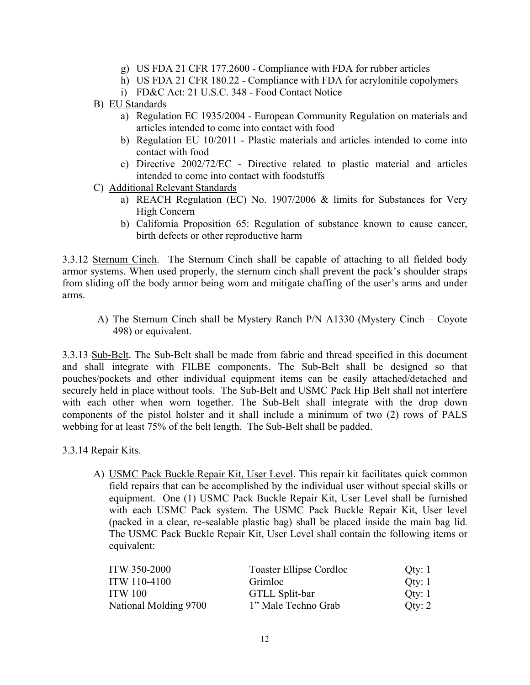- g) US FDA 21 CFR 177.2600 Compliance with FDA for rubber articles
- h) US FDA 21 CFR 180.22 Compliance with FDA for acrylonitile copolymers
- i) FD&C Act: 21 U.S.C. 348 Food Contact Notice
- B) EU Standards
	- a) Regulation EC 1935/2004 European Community Regulation on materials and articles intended to come into contact with food
	- b) Regulation EU 10/2011 Plastic materials and articles intended to come into contact with food
	- c) Directive 2002/72/EC Directive related to plastic material and articles intended to come into contact with foodstuffs
- C) Additional Relevant Standards
	- a) REACH Regulation (EC) No. 1907/2006 & limits for Substances for Very High Concern
	- b) California Proposition 65: Regulation of substance known to cause cancer, birth defects or other reproductive harm

3.3.12 Sternum Cinch. The Sternum Cinch shall be capable of attaching to all fielded body armor systems. When used properly, the sternum cinch shall prevent the pack's shoulder straps from sliding off the body armor being worn and mitigate chaffing of the user's arms and under arms.

A) The Sternum Cinch shall be Mystery Ranch P/N A1330 (Mystery Cinch – Coyote 498) or equivalent.

3.3.13 Sub-Belt. The Sub-Belt shall be made from fabric and thread specified in this document and shall integrate with FILBE components. The Sub-Belt shall be designed so that pouches/pockets and other individual equipment items can be easily attached/detached and securely held in place without tools. The Sub-Belt and USMC Pack Hip Belt shall not interfere with each other when worn together. The Sub-Belt shall integrate with the drop down components of the pistol holster and it shall include a minimum of two (2) rows of PALS webbing for at least 75% of the belt length. The Sub-Belt shall be padded.

- 3.3.14 Repair Kits.
	- A) USMC Pack Buckle Repair Kit, User Level. This repair kit facilitates quick common field repairs that can be accomplished by the individual user without special skills or equipment. One (1) USMC Pack Buckle Repair Kit, User Level shall be furnished with each USMC Pack system. The USMC Pack Buckle Repair Kit, User level (packed in a clear, re-sealable plastic bag) shall be placed inside the main bag lid. The USMC Pack Buckle Repair Kit, User Level shall contain the following items or equivalent:

| <b>ITW 350-2000</b>   | Toaster Ellipse Cordloc | Qty: 1   |
|-----------------------|-------------------------|----------|
| ITW 110-4100          | Grimloc                 | Oty: $1$ |
| <b>ITW 100</b>        | GTLL Split-bar          | Oty: $1$ |
| National Molding 9700 | 1" Male Techno Grab     | Oty: $2$ |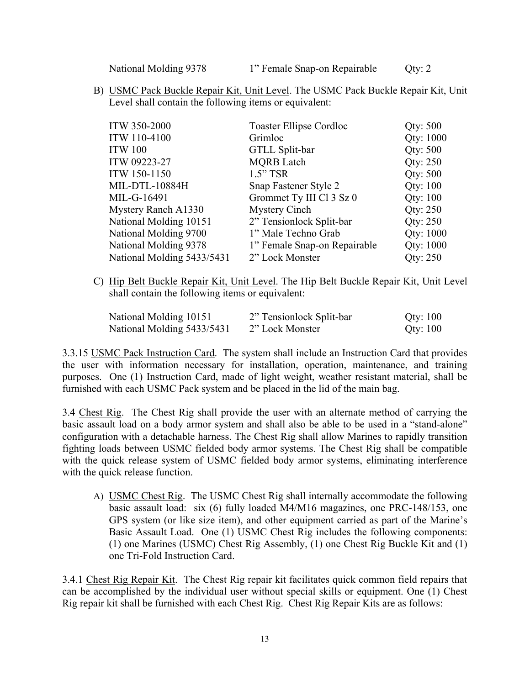National Molding 9378 1" Female Snap-on Repairable Qty: 2

B) USMC Pack Buckle Repair Kit, Unit Level. The USMC Pack Buckle Repair Kit, Unit Level shall contain the following items or equivalent:

| <b>ITW 350-2000</b>        | <b>Toaster Ellipse Cordloc</b> | Qty: 500  |
|----------------------------|--------------------------------|-----------|
| ITW 110-4100               | Grimloc                        | Qty: 1000 |
| <b>ITW 100</b>             | GTLL Split-bar                 | Qty: 500  |
| ITW 09223-27               | <b>MQRB</b> Latch              | Qty: 250  |
| ITW 150-1150               | $1.5"$ TSR                     | Qty: 500  |
| <b>MIL-DTL-10884H</b>      | Snap Fastener Style 2          | Qty: 100  |
| MIL-G-16491                | Grommet Ty III Cl 3 Sz 0       | Qty: 100  |
| Mystery Ranch A1330        | Mystery Cinch                  | Qty: 250  |
| National Molding 10151     | 2" Tensionlock Split-bar       | Qty: 250  |
| National Molding 9700      | 1" Male Techno Grab            | Qty: 1000 |
| National Molding 9378      | 1" Female Snap-on Repairable   | Qty: 1000 |
| National Molding 5433/5431 | 2" Lock Monster                | Qty: 250  |

C) Hip Belt Buckle Repair Kit, Unit Level. The Hip Belt Buckle Repair Kit, Unit Level shall contain the following items or equivalent:

| National Molding 10151     | 2" Tensionlock Split-bar | Qty: $100$ |
|----------------------------|--------------------------|------------|
| National Molding 5433/5431 | 2" Lock Monster          | Qty: $100$ |

3.3.15 USMC Pack Instruction Card. The system shall include an Instruction Card that provides the user with information necessary for installation, operation, maintenance, and training purposes. One (1) Instruction Card, made of light weight, weather resistant material, shall be furnished with each USMC Pack system and be placed in the lid of the main bag.

3.4 Chest Rig. The Chest Rig shall provide the user with an alternate method of carrying the basic assault load on a body armor system and shall also be able to be used in a "stand-alone" configuration with a detachable harness. The Chest Rig shall allow Marines to rapidly transition fighting loads between USMC fielded body armor systems. The Chest Rig shall be compatible with the quick release system of USMC fielded body armor systems, eliminating interference with the quick release function.

A) USMC Chest Rig. The USMC Chest Rig shall internally accommodate the following basic assault load: six (6) fully loaded M4/M16 magazines, one PRC-148/153, one GPS system (or like size item), and other equipment carried as part of the Marine's Basic Assault Load. One (1) USMC Chest Rig includes the following components: (1) one Marines (USMC) Chest Rig Assembly, (1) one Chest Rig Buckle Kit and (1) one Tri-Fold Instruction Card.

3.4.1 Chest Rig Repair Kit. The Chest Rig repair kit facilitates quick common field repairs that can be accomplished by the individual user without special skills or equipment. One (1) Chest Rig repair kit shall be furnished with each Chest Rig. Chest Rig Repair Kits are as follows: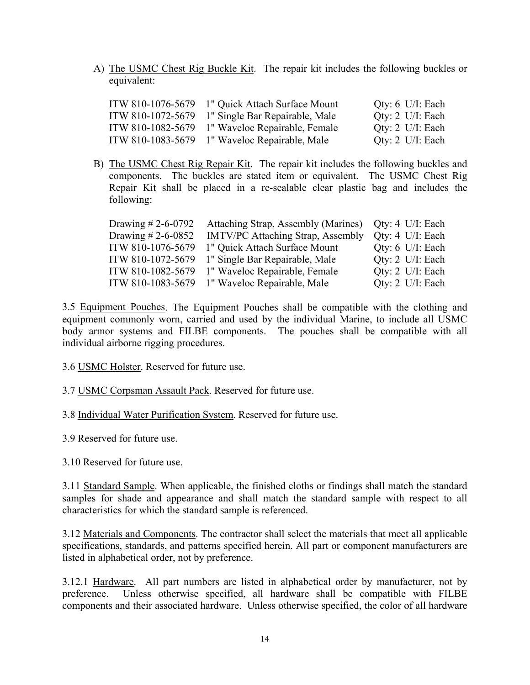A) The USMC Chest Rig Buckle Kit. The repair kit includes the following buckles or equivalent:

|                   | ITW 810-1076-5679 1" Quick Attach Surface Mount  | Qty: $6$ U/I: Each          |
|-------------------|--------------------------------------------------|-----------------------------|
|                   | ITW 810-1072-5679 1" Single Bar Repairable, Male | Qty: $2$ U/I: Each          |
| ITW 810-1082-5679 | 1" Waveloc Repairable, Female                    | Qty: $2 \text{ U/I}$ : Each |
| ITW 810-1083-5679 | 1" Waveloc Repairable, Male                      | Qty: $2 \text{ U/I}$ : Each |

B) The USMC Chest Rig Repair Kit. The repair kit includes the following buckles and components. The buckles are stated item or equivalent. The USMC Chest Rig Repair Kit shall be placed in a re-sealable clear plastic bag and includes the following:

| Drawing $\# 2 - 6 - 0792$ | Attaching Strap, Assembly (Marines) Qty: 4 U/I: Each |                    |
|---------------------------|------------------------------------------------------|--------------------|
| Drawing $# 2 - 6 - 0852$  | <b>IMTV/PC Attaching Strap, Assembly</b>             | Qty: $4$ U/I: Each |
| ITW 810-1076-5679         | 1" Quick Attach Surface Mount                        | Qty: $6$ U/I: Each |
| ITW 810-1072-5679         | 1" Single Bar Repairable, Male                       | Qty: 2 U/I: Each   |
| ITW 810-1082-5679         | 1" Waveloc Repairable, Female                        | Qty: $2$ U/I: Each |
| ITW 810-1083-5679         | 1" Waveloc Repairable, Male                          | Qty: $2$ U/I: Each |

3.5 Equipment Pouches. The Equipment Pouches shall be compatible with the clothing and equipment commonly worn, carried and used by the individual Marine, to include all USMC body armor systems and FILBE components. The pouches shall be compatible with all individual airborne rigging procedures.

- 3.6 USMC Holster. Reserved for future use.
- 3.7 USMC Corpsman Assault Pack. Reserved for future use.
- 3.8 Individual Water Purification System. Reserved for future use.

3.9 Reserved for future use.

3.10 Reserved for future use.

3.11 Standard Sample. When applicable, the finished cloths or findings shall match the standard samples for shade and appearance and shall match the standard sample with respect to all characteristics for which the standard sample is referenced.

3.12 Materials and Components. The contractor shall select the materials that meet all applicable specifications, standards, and patterns specified herein. All part or component manufacturers are listed in alphabetical order, not by preference.

3.12.1 Hardware.All part numbers are listed in alphabetical order by manufacturer, not by preference. Unless otherwise specified, all hardware shall be compatible with FILBE components and their associated hardware. Unless otherwise specified, the color of all hardware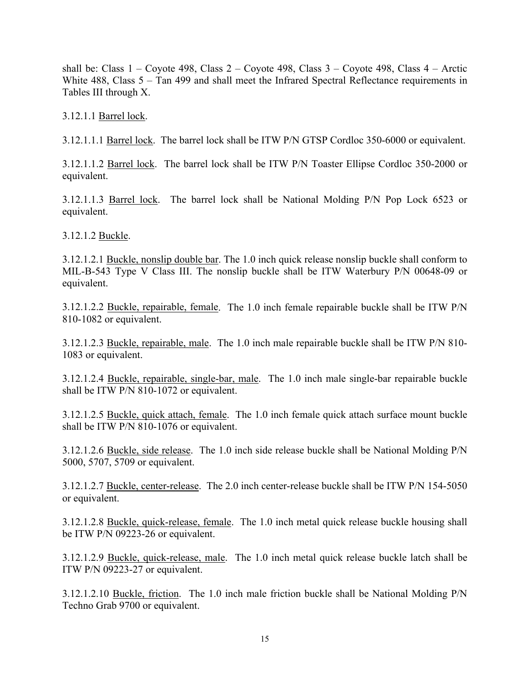shall be: Class  $1 -$ Coyote 498, Class  $2 -$ Coyote 498, Class  $3 -$ Coyote 498, Class  $4 -$ Arctic White 488, Class 5 – Tan 499 and shall meet the Infrared Spectral Reflectance requirements in Tables III through X.

3.12.1.1 Barrel lock.

3.12.1.1.1 Barrel lock. The barrel lock shall be ITW P/N GTSP Cordloc 350-6000 or equivalent.

3.12.1.1.2 Barrel lock. The barrel lock shall be ITW P/N Toaster Ellipse Cordloc 350-2000 or equivalent.

3.12.1.1.3 Barrel lock. The barrel lock shall be National Molding P/N Pop Lock 6523 or equivalent.

3.12.1.2 Buckle.

3.12.1.2.1 Buckle, nonslip double bar. The 1.0 inch quick release nonslip buckle shall conform to MIL-B-543 Type V Class III. The nonslip buckle shall be ITW Waterbury P/N 00648-09 or equivalent.

3.12.1.2.2 Buckle, repairable, female. The 1.0 inch female repairable buckle shall be ITW P/N 810-1082 or equivalent.

3.12.1.2.3 Buckle, repairable, male. The 1.0 inch male repairable buckle shall be ITW P/N 810- 1083 or equivalent.

3.12.1.2.4 Buckle, repairable, single-bar, male. The 1.0 inch male single-bar repairable buckle shall be ITW P/N 810-1072 or equivalent.

3.12.1.2.5 Buckle, quick attach, female. The 1.0 inch female quick attach surface mount buckle shall be ITW P/N 810-1076 or equivalent.

3.12.1.2.6 Buckle, side release. The 1.0 inch side release buckle shall be National Molding P/N 5000, 5707, 5709 or equivalent.

3.12.1.2.7 Buckle, center-release. The 2.0 inch center-release buckle shall be ITW P/N 154-5050 or equivalent.

3.12.1.2.8 Buckle, quick-release, female. The 1.0 inch metal quick release buckle housing shall be ITW P/N 09223-26 or equivalent.

3.12.1.2.9 Buckle, quick-release, male. The 1.0 inch metal quick release buckle latch shall be ITW P/N 09223-27 or equivalent.

3.12.1.2.10 Buckle, friction. The 1.0 inch male friction buckle shall be National Molding P/N Techno Grab 9700 or equivalent.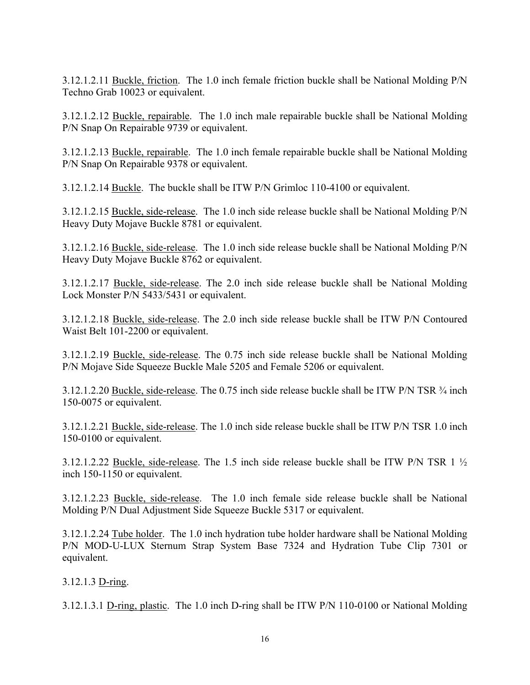3.12.1.2.11 Buckle, friction. The 1.0 inch female friction buckle shall be National Molding P/N Techno Grab 10023 or equivalent.

3.12.1.2.12 Buckle, repairable. The 1.0 inch male repairable buckle shall be National Molding P/N Snap On Repairable 9739 or equivalent.

3.12.1.2.13 Buckle, repairable. The 1.0 inch female repairable buckle shall be National Molding P/N Snap On Repairable 9378 or equivalent.

3.12.1.2.14 Buckle. The buckle shall be ITW P/N Grimloc 110-4100 or equivalent.

3.12.1.2.15 Buckle, side-release. The 1.0 inch side release buckle shall be National Molding P/N Heavy Duty Mojave Buckle 8781 or equivalent.

3.12.1.2.16 Buckle, side-release. The 1.0 inch side release buckle shall be National Molding P/N Heavy Duty Mojave Buckle 8762 or equivalent.

3.12.1.2.17 Buckle, side-release. The 2.0 inch side release buckle shall be National Molding Lock Monster P/N 5433/5431 or equivalent.

3.12.1.2.18 Buckle, side-release. The 2.0 inch side release buckle shall be ITW P/N Contoured Waist Belt 101-2200 or equivalent.

3.12.1.2.19 Buckle, side-release. The 0.75 inch side release buckle shall be National Molding P/N Mojave Side Squeeze Buckle Male 5205 and Female 5206 or equivalent.

3.12.1.2.20 Buckle, side-release. The 0.75 inch side release buckle shall be ITW P/N TSR  $\frac{3}{4}$  inch 150-0075 or equivalent.

3.12.1.2.21 Buckle, side-release. The 1.0 inch side release buckle shall be ITW P/N TSR 1.0 inch 150-0100 or equivalent.

3.12.1.2.22 Buckle, side-release. The 1.5 inch side release buckle shall be ITW P/N TSR 1 ½ inch 150-1150 or equivalent.

3.12.1.2.23 Buckle, side-release. The 1.0 inch female side release buckle shall be National Molding P/N Dual Adjustment Side Squeeze Buckle 5317 or equivalent.

3.12.1.2.24 Tube holder. The 1.0 inch hydration tube holder hardware shall be National Molding P/N MOD-U-LUX Sternum Strap System Base 7324 and Hydration Tube Clip 7301 or equivalent.

3.12.1.3 D-ring.

3.12.1.3.1 D-ring, plastic. The 1.0 inch D-ring shall be ITW P/N 110-0100 or National Molding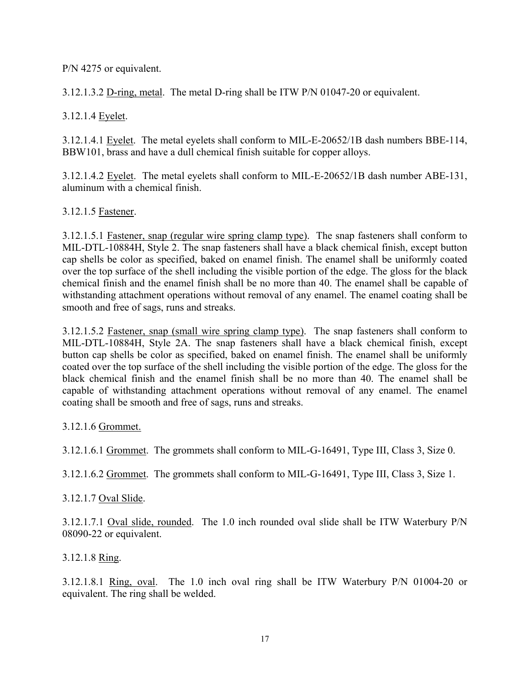P/N 4275 or equivalent.

3.12.1.3.2 D-ring, metal. The metal D-ring shall be ITW P/N 01047-20 or equivalent.

3.12.1.4 Eyelet.

3.12.1.4.1 Eyelet. The metal eyelets shall conform to MIL-E-20652/1B dash numbers BBE-114, BBW101, brass and have a dull chemical finish suitable for copper alloys.

3.12.1.4.2 Eyelet. The metal eyelets shall conform to MIL-E-20652/1B dash number ABE-131, aluminum with a chemical finish.

## 3.12.1.5 Fastener.

3.12.1.5.1 Fastener, snap (regular wire spring clamp type). The snap fasteners shall conform to MIL-DTL-10884H, Style 2. The snap fasteners shall have a black chemical finish, except button cap shells be color as specified, baked on enamel finish. The enamel shall be uniformly coated over the top surface of the shell including the visible portion of the edge. The gloss for the black chemical finish and the enamel finish shall be no more than 40. The enamel shall be capable of withstanding attachment operations without removal of any enamel. The enamel coating shall be smooth and free of sags, runs and streaks.

3.12.1.5.2 Fastener, snap (small wire spring clamp type). The snap fasteners shall conform to MIL-DTL-10884H, Style 2A. The snap fasteners shall have a black chemical finish, except button cap shells be color as specified, baked on enamel finish. The enamel shall be uniformly coated over the top surface of the shell including the visible portion of the edge. The gloss for the black chemical finish and the enamel finish shall be no more than 40. The enamel shall be capable of withstanding attachment operations without removal of any enamel. The enamel coating shall be smooth and free of sags, runs and streaks.

3.12.1.6 Grommet.

3.12.1.6.1 Grommet. The grommets shall conform to MIL-G-16491, Type III, Class 3, Size 0.

3.12.1.6.2 Grommet. The grommets shall conform to MIL-G-16491, Type III, Class 3, Size 1.

3.12.1.7 Oval Slide.

3.12.1.7.1 Oval slide, rounded. The 1.0 inch rounded oval slide shall be ITW Waterbury P/N 08090-22 or equivalent.

3.12.1.8 Ring.

3.12.1.8.1 Ring, oval. The 1.0 inch oval ring shall be ITW Waterbury P/N 01004-20 or equivalent. The ring shall be welded.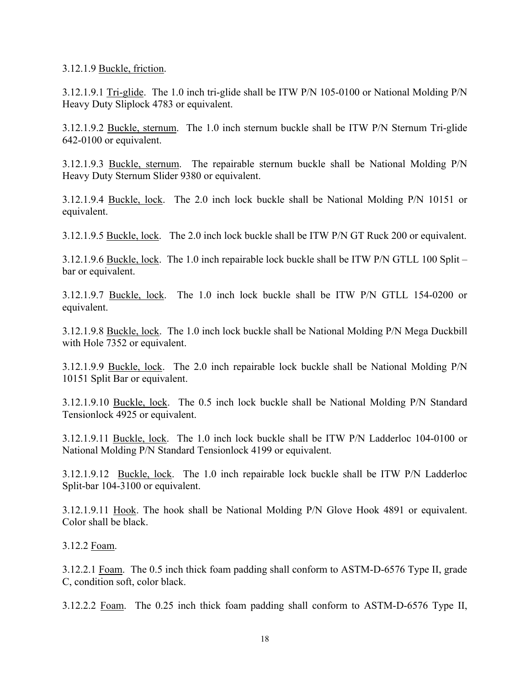3.12.1.9 Buckle, friction.

3.12.1.9.1 Tri-glide. The 1.0 inch tri-glide shall be ITW P/N 105-0100 or National Molding P/N Heavy Duty Sliplock 4783 or equivalent.

3.12.1.9.2 Buckle, sternum. The 1.0 inch sternum buckle shall be ITW P/N Sternum Tri-glide 642-0100 or equivalent.

3.12.1.9.3 Buckle, sternum. The repairable sternum buckle shall be National Molding P/N Heavy Duty Sternum Slider 9380 or equivalent.

3.12.1.9.4 Buckle, lock. The 2.0 inch lock buckle shall be National Molding P/N 10151 or equivalent.

3.12.1.9.5 Buckle, lock. The 2.0 inch lock buckle shall be ITW P/N GT Ruck 200 or equivalent.

3.12.1.9.6 Buckle, lock. The 1.0 inch repairable lock buckle shall be ITW P/N GTLL 100 Split – bar or equivalent.

3.12.1.9.7 Buckle, lock. The 1.0 inch lock buckle shall be ITW P/N GTLL 154-0200 or equivalent.

3.12.1.9.8 Buckle, lock. The 1.0 inch lock buckle shall be National Molding P/N Mega Duckbill with Hole 7352 or equivalent.

3.12.1.9.9 Buckle, lock. The 2.0 inch repairable lock buckle shall be National Molding P/N 10151 Split Bar or equivalent.

3.12.1.9.10 Buckle, lock. The 0.5 inch lock buckle shall be National Molding P/N Standard Tensionlock 4925 or equivalent.

3.12.1.9.11 Buckle, lock. The 1.0 inch lock buckle shall be ITW P/N Ladderloc 104-0100 or National Molding P/N Standard Tensionlock 4199 or equivalent.

3.12.1.9.12 Buckle, lock. The 1.0 inch repairable lock buckle shall be ITW P/N Ladderloc Split-bar 104-3100 or equivalent.

3.12.1.9.11 Hook. The hook shall be National Molding P/N Glove Hook 4891 or equivalent. Color shall be black.

3.12.2 Foam.

3.12.2.1 Foam. The 0.5 inch thick foam padding shall conform to ASTM-D-6576 Type II, grade C, condition soft, color black.

3.12.2.2 Foam. The 0.25 inch thick foam padding shall conform to ASTM-D-6576 Type II,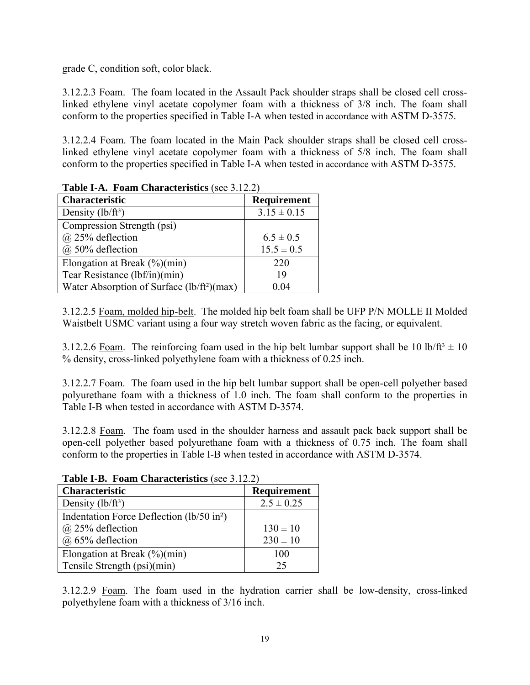grade C, condition soft, color black.

3.12.2.3 Foam. The foam located in the Assault Pack shoulder straps shall be closed cell crosslinked ethylene vinyl acetate copolymer foam with a thickness of 3/8 inch. The foam shall conform to the properties specified in Table I-A when tested in accordance with ASTM D-3575.

3.12.2.4 Foam. The foam located in the Main Pack shoulder straps shall be closed cell crosslinked ethylene vinyl acetate copolymer foam with a thickness of 5/8 inch. The foam shall conform to the properties specified in Table I-A when tested in accordance with ASTM D-3575.

| <b>THEIR IS TOWER CHAING ISHES</b> (See 2.12.2) |                 |
|-------------------------------------------------|-----------------|
| <b>Characteristic</b>                           | Requirement     |
| Density $(lb/ft^3)$                             | $3.15 \pm 0.15$ |
| Compression Strength (psi)                      |                 |
| @ 25% deflection                                | $6.5 \pm 0.5$   |
| @ 50% deflection                                | $15.5 \pm 0.5$  |
| Elongation at Break $(\frac{6}{6})(\text{min})$ | 220             |
| Tear Resistance (lbf/in)(min)                   | 19              |
| Water Absorption of Surface $(lb/ft^2)(max)$    | 0.04            |

**Table I-A. Foam Characteristics** (see 3.12.2)

3.12.2.5 Foam, molded hip-belt. The molded hip belt foam shall be UFP P/N MOLLE II Molded Waistbelt USMC variant using a four way stretch woven fabric as the facing, or equivalent.

3.12.2.6 Foam. The reinforcing foam used in the hip belt lumbar support shall be 10 lb/ft<sup>3</sup>  $\pm$  10 % density, cross-linked polyethylene foam with a thickness of 0.25 inch.

3.12.2.7 Foam. The foam used in the hip belt lumbar support shall be open-cell polyether based polyurethane foam with a thickness of 1.0 inch. The foam shall conform to the properties in Table I-B when tested in accordance with ASTM D-3574.

3.12.2.8 Foam. The foam used in the shoulder harness and assault pack back support shall be open-cell polyether based polyurethane foam with a thickness of 0.75 inch. The foam shall conform to the properties in Table I-B when tested in accordance with ASTM D-3574.

| <b>Table I-B.</b> Foam Characteristics (see 5.12.2)   |                |  |  |  |  |  |  |
|-------------------------------------------------------|----------------|--|--|--|--|--|--|
| <b>Characteristic</b>                                 | Requirement    |  |  |  |  |  |  |
| Density $(lb/ft^3)$                                   | $2.5 \pm 0.25$ |  |  |  |  |  |  |
| Indentation Force Deflection (lb/50 in <sup>2</sup> ) |                |  |  |  |  |  |  |
| $(a)$ 25% deflection                                  | $130 \pm 10$   |  |  |  |  |  |  |
| @ 65% deflection                                      | $230 \pm 10$   |  |  |  |  |  |  |
| Elongation at Break $(\frac{6}{6})(\text{min})$       | 100            |  |  |  |  |  |  |
| Tensile Strength (psi)(min)                           | 25             |  |  |  |  |  |  |

**Table I-B. Foam Characteristics** (see 3.12.2)

3.12.2.9 Foam. The foam used in the hydration carrier shall be low-density, cross-linked polyethylene foam with a thickness of 3/16 inch.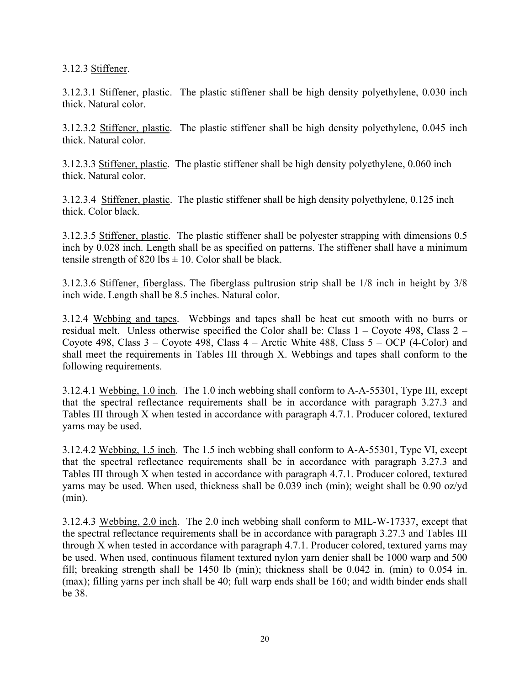3.12.3 Stiffener.

3.12.3.1 Stiffener, plastic. The plastic stiffener shall be high density polyethylene, 0.030 inch thick. Natural color.

3.12.3.2 Stiffener, plastic. The plastic stiffener shall be high density polyethylene, 0.045 inch thick. Natural color.

3.12.3.3 Stiffener, plastic. The plastic stiffener shall be high density polyethylene, 0.060 inch thick. Natural color.

3.12.3.4 Stiffener, plastic. The plastic stiffener shall be high density polyethylene, 0.125 inch thick. Color black.

3.12.3.5 Stiffener, plastic. The plastic stiffener shall be polyester strapping with dimensions 0.5 inch by 0.028 inch. Length shall be as specified on patterns. The stiffener shall have a minimum tensile strength of  $820$  lbs  $\pm 10$ . Color shall be black.

3.12.3.6 Stiffener, fiberglass. The fiberglass pultrusion strip shall be 1/8 inch in height by 3/8 inch wide. Length shall be 8.5 inches. Natural color.

3.12.4 Webbing and tapes. Webbings and tapes shall be heat cut smooth with no burrs or residual melt. Unless otherwise specified the Color shall be: Class 1 – Coyote 498, Class 2 – Coyote 498, Class  $3 -$ Coyote 498, Class  $4 -$ Arctic White 488, Class  $5 -$ OCP (4-Color) and shall meet the requirements in Tables III through X. Webbings and tapes shall conform to the following requirements.

3.12.4.1 Webbing, 1.0 inch. The 1.0 inch webbing shall conform to A-A-55301, Type III, except that the spectral reflectance requirements shall be in accordance with paragraph 3.27.3 and Tables III through X when tested in accordance with paragraph 4.7.1. Producer colored, textured yarns may be used.

3.12.4.2 Webbing, 1.5 inch. The 1.5 inch webbing shall conform to A-A-55301, Type VI, except that the spectral reflectance requirements shall be in accordance with paragraph 3.27.3 and Tables III through X when tested in accordance with paragraph 4.7.1. Producer colored, textured yarns may be used. When used, thickness shall be 0.039 inch (min); weight shall be 0.90 oz/yd (min).

3.12.4.3 Webbing, 2.0 inch. The 2.0 inch webbing shall conform to MIL-W-17337, except that the spectral reflectance requirements shall be in accordance with paragraph 3.27.3 and Tables III through X when tested in accordance with paragraph 4.7.1. Producer colored, textured yarns may be used. When used, continuous filament textured nylon yarn denier shall be 1000 warp and 500 fill; breaking strength shall be 1450 lb (min); thickness shall be 0.042 in. (min) to 0.054 in. (max); filling yarns per inch shall be 40; full warp ends shall be 160; and width binder ends shall be 38.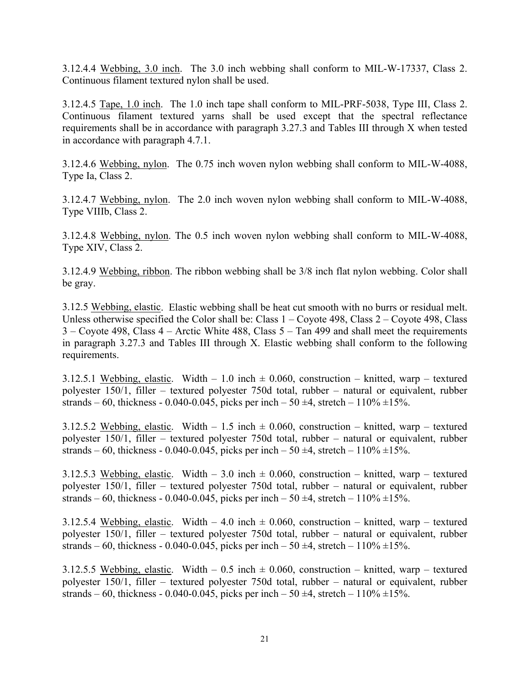3.12.4.4 Webbing, 3.0 inch. The 3.0 inch webbing shall conform to MIL-W-17337, Class 2. Continuous filament textured nylon shall be used.

3.12.4.5 Tape, 1.0 inch. The 1.0 inch tape shall conform to MIL-PRF-5038, Type III, Class 2. Continuous filament textured yarns shall be used except that the spectral reflectance requirements shall be in accordance with paragraph 3.27.3 and Tables III through X when tested in accordance with paragraph 4.7.1.

3.12.4.6 Webbing, nylon. The 0.75 inch woven nylon webbing shall conform to MIL-W-4088, Type Ia, Class 2.

3.12.4.7 Webbing, nylon. The 2.0 inch woven nylon webbing shall conform to MIL-W-4088, Type VIIIb, Class 2.

3.12.4.8 Webbing, nylon. The 0.5 inch woven nylon webbing shall conform to MIL-W-4088, Type XIV, Class 2.

3.12.4.9 Webbing, ribbon. The ribbon webbing shall be 3/8 inch flat nylon webbing. Color shall be gray.

3.12.5 Webbing, elastic. Elastic webbing shall be heat cut smooth with no burrs or residual melt. Unless otherwise specified the Color shall be: Class 1 – Coyote 498, Class 2 – Coyote 498, Class 3 – Coyote 498, Class 4 – Arctic White 488, Class 5 – Tan 499 and shall meet the requirements in paragraph 3.27.3 and Tables III through X. Elastic webbing shall conform to the following requirements.

3.12.5.1 Webbing, elastic. Width – 1.0 inch  $\pm$  0.060, construction – knitted, warp – textured polyester 150/1, filler – textured polyester 750d total, rubber – natural or equivalent, rubber strands – 60, thickness - 0.040-0.045, picks per inch – 50  $\pm$ 4, stretch – 110%  $\pm$ 15%.

3.12.5.2 Webbing, elastic. Width  $-1.5$  inch  $\pm$  0.060, construction – knitted, warp – textured polyester 150/1, filler – textured polyester 750d total, rubber – natural or equivalent, rubber strands – 60, thickness - 0.040-0.045, picks per inch – 50  $\pm$ 4, stretch – 110%  $\pm$ 15%.

3.12.5.3 Webbing, elastic. Width – 3.0 inch  $\pm$  0.060, construction – knitted, warp – textured polyester 150/1, filler – textured polyester 750d total, rubber – natural or equivalent, rubber strands – 60, thickness - 0.040-0.045, picks per inch – 50  $\pm$ 4, stretch – 110%  $\pm$ 15%.

3.12.5.4 Webbing, elastic. Width  $-4.0$  inch  $\pm$  0.060, construction – knitted, warp – textured polyester 150/1, filler – textured polyester 750d total, rubber – natural or equivalent, rubber strands – 60, thickness - 0.040-0.045, picks per inch – 50  $\pm$ 4, stretch – 110%  $\pm$ 15%.

3.12.5.5 Webbing, elastic. Width – 0.5 inch  $\pm$  0.060, construction – knitted, warp – textured polyester 150/1, filler – textured polyester 750d total, rubber – natural or equivalent, rubber strands – 60, thickness - 0.040-0.045, picks per inch – 50  $\pm$ 4, stretch – 110%  $\pm$ 15%.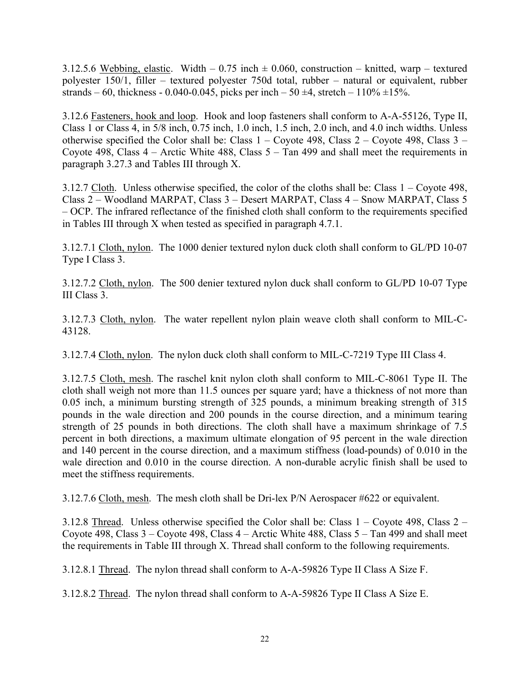3.12.5.6 Webbing, elastic. Width  $-0.75$  inch  $\pm 0.060$ , construction – knitted, warp – textured polyester 150/1, filler – textured polyester 750d total, rubber – natural or equivalent, rubber strands – 60, thickness - 0.040-0.045, picks per inch – 50  $\pm$ 4, stretch – 110%  $\pm$ 15%.

3.12.6 Fasteners, hook and loop. Hook and loop fasteners shall conform to A-A-55126, Type II, Class 1 or Class 4, in 5/8 inch, 0.75 inch, 1.0 inch, 1.5 inch, 2.0 inch, and 4.0 inch widths. Unless otherwise specified the Color shall be: Class  $1 -$ Coyote 498, Class  $2 -$ Coyote 498, Class  $3 -$ Coyote 498, Class 4 – Arctic White 488, Class 5 – Tan 499 and shall meet the requirements in paragraph 3.27.3 and Tables III through X.

3.12.7 Cloth. Unless otherwise specified, the color of the cloths shall be: Class  $1 -$ Coyote 498, Class 2 – Woodland MARPAT, Class 3 – Desert MARPAT, Class 4 – Snow MARPAT, Class 5 – OCP. The infrared reflectance of the finished cloth shall conform to the requirements specified in Tables III through X when tested as specified in paragraph 4.7.1.

3.12.7.1 Cloth, nylon. The 1000 denier textured nylon duck cloth shall conform to GL/PD 10-07 Type I Class 3.

3.12.7.2 Cloth, nylon. The 500 denier textured nylon duck shall conform to GL/PD 10-07 Type III Class 3.

3.12.7.3 Cloth, nylon. The water repellent nylon plain weave cloth shall conform to MIL-C-43128.

3.12.7.4 Cloth, nylon. The nylon duck cloth shall conform to MIL-C-7219 Type III Class 4.

3.12.7.5 Cloth, mesh. The raschel knit nylon cloth shall conform to MIL-C-8061 Type II. The cloth shall weigh not more than 11.5 ounces per square yard; have a thickness of not more than 0.05 inch, a minimum bursting strength of 325 pounds, a minimum breaking strength of 315 pounds in the wale direction and 200 pounds in the course direction, and a minimum tearing strength of 25 pounds in both directions. The cloth shall have a maximum shrinkage of 7.5 percent in both directions, a maximum ultimate elongation of 95 percent in the wale direction and 140 percent in the course direction, and a maximum stiffness (load-pounds) of 0.010 in the wale direction and 0.010 in the course direction. A non-durable acrylic finish shall be used to meet the stiffness requirements.

3.12.7.6 Cloth, mesh. The mesh cloth shall be Dri-lex P/N Aerospacer #622 or equivalent.

3.12.8 Thread. Unless otherwise specified the Color shall be: Class 1 – Coyote 498, Class 2 – Coyote 498, Class 3 – Coyote 498, Class 4 – Arctic White 488, Class 5 – Tan 499 and shall meet the requirements in Table III through X. Thread shall conform to the following requirements.

3.12.8.1 Thread. The nylon thread shall conform to A-A-59826 Type II Class A Size F.

3.12.8.2 Thread. The nylon thread shall conform to A-A-59826 Type II Class A Size E.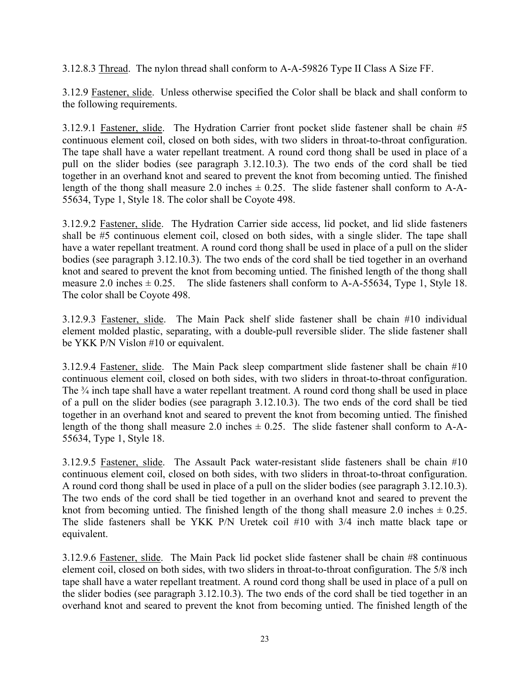3.12.8.3 Thread. The nylon thread shall conform to A-A-59826 Type II Class A Size FF.

3.12.9 Fastener, slide.Unless otherwise specified the Color shall be black and shall conform to the following requirements.

3.12.9.1 Fastener, slide. The Hydration Carrier front pocket slide fastener shall be chain #5 continuous element coil, closed on both sides, with two sliders in throat-to-throat configuration. The tape shall have a water repellant treatment. A round cord thong shall be used in place of a pull on the slider bodies (see paragraph 3.12.10.3). The two ends of the cord shall be tied together in an overhand knot and seared to prevent the knot from becoming untied. The finished length of the thong shall measure 2.0 inches  $\pm$  0.25. The slide fastener shall conform to A-A-55634, Type 1, Style 18. The color shall be Coyote 498.

3.12.9.2 Fastener, slide. The Hydration Carrier side access, lid pocket, and lid slide fasteners shall be #5 continuous element coil, closed on both sides, with a single slider. The tape shall have a water repellant treatment. A round cord thong shall be used in place of a pull on the slider bodies (see paragraph 3.12.10.3). The two ends of the cord shall be tied together in an overhand knot and seared to prevent the knot from becoming untied. The finished length of the thong shall measure 2.0 inches  $\pm$  0.25. The slide fasteners shall conform to A-A-55634, Type 1, Style 18. The color shall be Coyote 498.

3.12.9.3 Fastener, slide. The Main Pack shelf slide fastener shall be chain #10 individual element molded plastic, separating, with a double-pull reversible slider. The slide fastener shall be YKK P/N Vislon #10 or equivalent.

3.12.9.4 Fastener, slide. The Main Pack sleep compartment slide fastener shall be chain #10 continuous element coil, closed on both sides, with two sliders in throat-to-throat configuration. The <sup>3</sup>/4 inch tape shall have a water repellant treatment. A round cord thong shall be used in place of a pull on the slider bodies (see paragraph 3.12.10.3). The two ends of the cord shall be tied together in an overhand knot and seared to prevent the knot from becoming untied. The finished length of the thong shall measure 2.0 inches  $\pm$  0.25. The slide fastener shall conform to A-A-55634, Type 1, Style 18.

3.12.9.5 Fastener, slide. The Assault Pack water-resistant slide fasteners shall be chain #10 continuous element coil, closed on both sides, with two sliders in throat-to-throat configuration. A round cord thong shall be used in place of a pull on the slider bodies (see paragraph 3.12.10.3). The two ends of the cord shall be tied together in an overhand knot and seared to prevent the knot from becoming untied. The finished length of the thong shall measure 2.0 inches  $\pm$  0.25. The slide fasteners shall be YKK P/N Uretek coil #10 with 3/4 inch matte black tape or equivalent.

3.12.9.6 Fastener, slide. The Main Pack lid pocket slide fastener shall be chain #8 continuous element coil, closed on both sides, with two sliders in throat-to-throat configuration. The 5/8 inch tape shall have a water repellant treatment. A round cord thong shall be used in place of a pull on the slider bodies (see paragraph 3.12.10.3). The two ends of the cord shall be tied together in an overhand knot and seared to prevent the knot from becoming untied. The finished length of the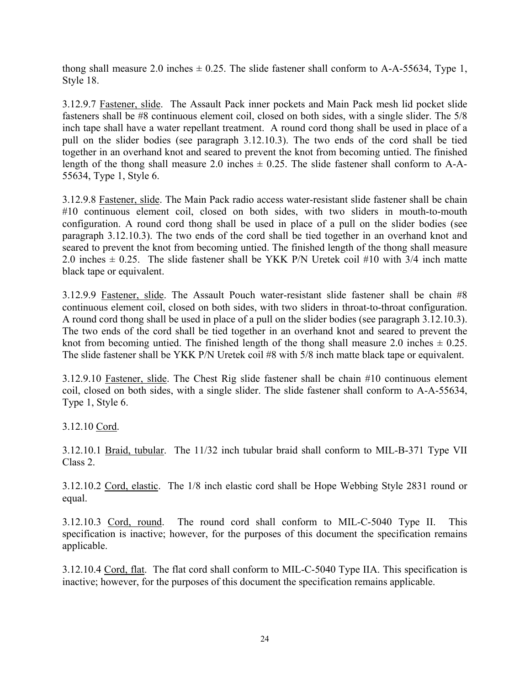thong shall measure 2.0 inches  $\pm$  0.25. The slide fastener shall conform to A-A-55634, Type 1, Style 18.

3.12.9.7 Fastener, slide. The Assault Pack inner pockets and Main Pack mesh lid pocket slide fasteners shall be #8 continuous element coil, closed on both sides, with a single slider. The 5/8 inch tape shall have a water repellant treatment. A round cord thong shall be used in place of a pull on the slider bodies (see paragraph 3.12.10.3). The two ends of the cord shall be tied together in an overhand knot and seared to prevent the knot from becoming untied. The finished length of the thong shall measure 2.0 inches  $\pm$  0.25. The slide fastener shall conform to A-A-55634, Type 1, Style 6.

3.12.9.8 Fastener, slide. The Main Pack radio access water-resistant slide fastener shall be chain #10 continuous element coil, closed on both sides, with two sliders in mouth-to-mouth configuration. A round cord thong shall be used in place of a pull on the slider bodies (see paragraph 3.12.10.3). The two ends of the cord shall be tied together in an overhand knot and seared to prevent the knot from becoming untied. The finished length of the thong shall measure 2.0 inches  $\pm$  0.25. The slide fastener shall be YKK P/N Uretek coil #10 with 3/4 inch matte black tape or equivalent.

3.12.9.9 Fastener, slide. The Assault Pouch water-resistant slide fastener shall be chain #8 continuous element coil, closed on both sides, with two sliders in throat-to-throat configuration. A round cord thong shall be used in place of a pull on the slider bodies (see paragraph 3.12.10.3). The two ends of the cord shall be tied together in an overhand knot and seared to prevent the knot from becoming untied. The finished length of the thong shall measure 2.0 inches  $\pm$  0.25. The slide fastener shall be YKK P/N Uretek coil #8 with 5/8 inch matte black tape or equivalent.

3.12.9.10 Fastener, slide. The Chest Rig slide fastener shall be chain #10 continuous element coil, closed on both sides, with a single slider. The slide fastener shall conform to A-A-55634, Type 1, Style 6.

3.12.10 Cord.

3.12.10.1 Braid, tubular. The 11/32 inch tubular braid shall conform to MIL-B-371 Type VII Class 2.

3.12.10.2 Cord, elastic. The 1/8 inch elastic cord shall be Hope Webbing Style 2831 round or equal.

3.12.10.3 Cord, round. The round cord shall conform to MIL-C-5040 Type II. This specification is inactive; however, for the purposes of this document the specification remains applicable.

3.12.10.4 Cord, flat. The flat cord shall conform to MIL-C-5040 Type IIA. This specification is inactive; however, for the purposes of this document the specification remains applicable.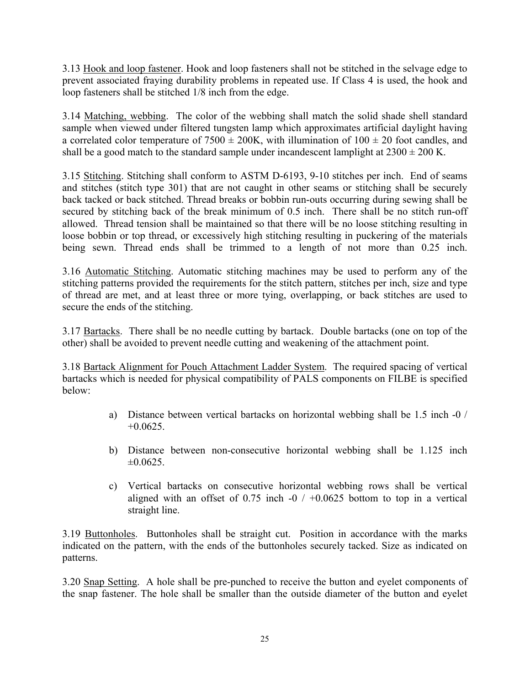3.13 Hook and loop fastener. Hook and loop fasteners shall not be stitched in the selvage edge to prevent associated fraying durability problems in repeated use. If Class 4 is used, the hook and loop fasteners shall be stitched 1/8 inch from the edge.

3.14 Matching, webbing. The color of the webbing shall match the solid shade shell standard sample when viewed under filtered tungsten lamp which approximates artificial daylight having a correlated color temperature of  $7500 \pm 200$ K, with illumination of  $100 \pm 20$  foot candles, and shall be a good match to the standard sample under incandescent lamplight at  $2300 \pm 200$  K.

3.15 Stitching. Stitching shall conform to ASTM D-6193, 9-10 stitches per inch. End of seams and stitches (stitch type 301) that are not caught in other seams or stitching shall be securely back tacked or back stitched. Thread breaks or bobbin run-outs occurring during sewing shall be secured by stitching back of the break minimum of 0.5 inch. There shall be no stitch run-off allowed. Thread tension shall be maintained so that there will be no loose stitching resulting in loose bobbin or top thread, or excessively high stitching resulting in puckering of the materials being sewn. Thread ends shall be trimmed to a length of not more than 0.25 inch.

3.16 Automatic Stitching. Automatic stitching machines may be used to perform any of the stitching patterns provided the requirements for the stitch pattern, stitches per inch, size and type of thread are met, and at least three or more tying, overlapping, or back stitches are used to secure the ends of the stitching.

3.17 Bartacks. There shall be no needle cutting by bartack. Double bartacks (one on top of the other) shall be avoided to prevent needle cutting and weakening of the attachment point.

3.18 Bartack Alignment for Pouch Attachment Ladder System. The required spacing of vertical bartacks which is needed for physical compatibility of PALS components on FILBE is specified below:

- a) Distance between vertical bartacks on horizontal webbing shall be 1.5 inch -0 /  $+0.0625.$
- b) Distance between non-consecutive horizontal webbing shall be 1.125 inch  $\pm 0.0625$ .
- c) Vertical bartacks on consecutive horizontal webbing rows shall be vertical aligned with an offset of 0.75 inch  $-0$  /  $+0.0625$  bottom to top in a vertical straight line.

3.19 Buttonholes. Buttonholes shall be straight cut. Position in accordance with the marks indicated on the pattern, with the ends of the buttonholes securely tacked. Size as indicated on patterns.

3.20 Snap Setting. A hole shall be pre-punched to receive the button and eyelet components of the snap fastener. The hole shall be smaller than the outside diameter of the button and eyelet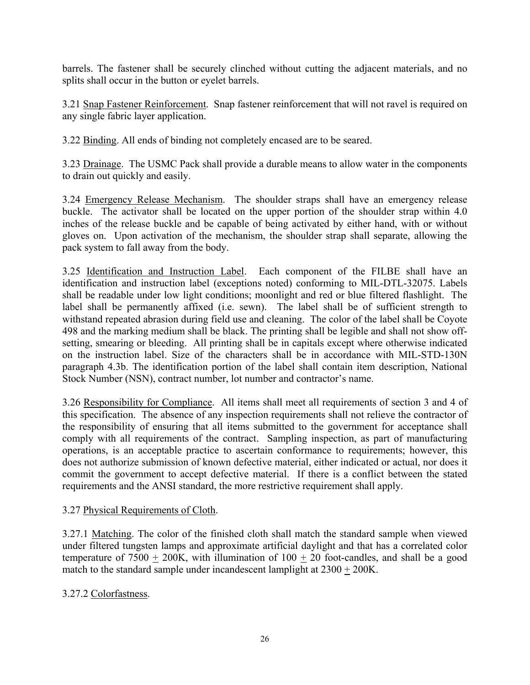barrels. The fastener shall be securely clinched without cutting the adjacent materials, and no splits shall occur in the button or eyelet barrels.

3.21 Snap Fastener Reinforcement. Snap fastener reinforcement that will not ravel is required on any single fabric layer application.

3.22 Binding. All ends of binding not completely encased are to be seared.

3.23 Drainage. The USMC Pack shall provide a durable means to allow water in the components to drain out quickly and easily.

3.24 Emergency Release Mechanism. The shoulder straps shall have an emergency release buckle. The activator shall be located on the upper portion of the shoulder strap within 4.0 inches of the release buckle and be capable of being activated by either hand, with or without gloves on. Upon activation of the mechanism, the shoulder strap shall separate, allowing the pack system to fall away from the body.

3.25 Identification and Instruction Label. Each component of the FILBE shall have an identification and instruction label (exceptions noted) conforming to MIL-DTL-32075. Labels shall be readable under low light conditions; moonlight and red or blue filtered flashlight. The label shall be permanently affixed (i.e. sewn). The label shall be of sufficient strength to withstand repeated abrasion during field use and cleaning. The color of the label shall be Coyote 498 and the marking medium shall be black. The printing shall be legible and shall not show offsetting, smearing or bleeding. All printing shall be in capitals except where otherwise indicated on the instruction label. Size of the characters shall be in accordance with MIL-STD-130N paragraph 4.3b. The identification portion of the label shall contain item description, National Stock Number (NSN), contract number, lot number and contractor's name.

3.26 Responsibility for Compliance. All items shall meet all requirements of section 3 and 4 of this specification. The absence of any inspection requirements shall not relieve the contractor of the responsibility of ensuring that all items submitted to the government for acceptance shall comply with all requirements of the contract. Sampling inspection, as part of manufacturing operations, is an acceptable practice to ascertain conformance to requirements; however, this does not authorize submission of known defective material, either indicated or actual, nor does it commit the government to accept defective material. If there is a conflict between the stated requirements and the ANSI standard, the more restrictive requirement shall apply.

3.27 Physical Requirements of Cloth.

3.27.1 Matching. The color of the finished cloth shall match the standard sample when viewed under filtered tungsten lamps and approximate artificial daylight and that has a correlated color temperature of  $7500 + 200K$ , with illumination of  $100 + 20$  foot-candles, and shall be a good match to the standard sample under incandescent lamplight at 2300 + 200K.

3.27.2 Colorfastness.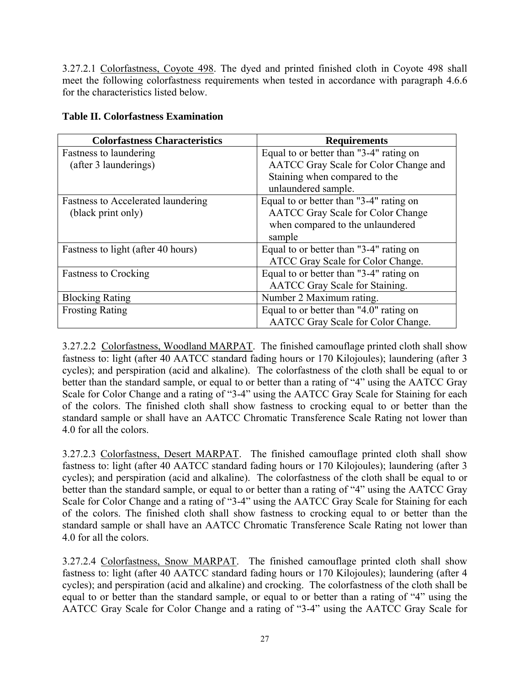3.27.2.1 Colorfastness, Coyote 498. The dyed and printed finished cloth in Coyote 498 shall meet the following colorfastness requirements when tested in accordance with paragraph 4.6.6 for the characteristics listed below.

| <b>Colorfastness Characteristics</b> | <b>Requirements</b>                       |
|--------------------------------------|-------------------------------------------|
| Fastness to laundering               | Equal to or better than "3-4" rating on   |
| (after 3 launderings)                | AATCC Gray Scale for Color Change and     |
|                                      | Staining when compared to the             |
|                                      | unlaundered sample.                       |
| Fastness to Accelerated laundering   | Equal to or better than "3-4" rating on   |
| (black print only)                   | <b>AATCC</b> Gray Scale for Color Change  |
|                                      | when compared to the unlaundered          |
|                                      | sample                                    |
| Fastness to light (after 40 hours)   | Equal to or better than "3-4" rating on   |
|                                      | ATCC Gray Scale for Color Change.         |
| <b>Fastness to Crocking</b>          | Equal to or better than "3-4" rating on   |
|                                      | <b>AATCC</b> Gray Scale for Staining.     |
| <b>Blocking Rating</b>               | Number 2 Maximum rating.                  |
| <b>Frosting Rating</b>               | Equal to or better than "4.0" rating on   |
|                                      | <b>AATCC</b> Gray Scale for Color Change. |

3.27.2.2 Colorfastness, Woodland MARPAT. The finished camouflage printed cloth shall show fastness to: light (after 40 AATCC standard fading hours or 170 Kilojoules); laundering (after 3 cycles); and perspiration (acid and alkaline). The colorfastness of the cloth shall be equal to or better than the standard sample, or equal to or better than a rating of "4" using the AATCC Gray Scale for Color Change and a rating of "3-4" using the AATCC Gray Scale for Staining for each of the colors. The finished cloth shall show fastness to crocking equal to or better than the standard sample or shall have an AATCC Chromatic Transference Scale Rating not lower than 4.0 for all the colors.

3.27.2.3 Colorfastness, Desert MARPAT. The finished camouflage printed cloth shall show fastness to: light (after 40 AATCC standard fading hours or 170 Kilojoules); laundering (after 3 cycles); and perspiration (acid and alkaline). The colorfastness of the cloth shall be equal to or better than the standard sample, or equal to or better than a rating of "4" using the AATCC Gray Scale for Color Change and a rating of "3-4" using the AATCC Gray Scale for Staining for each of the colors. The finished cloth shall show fastness to crocking equal to or better than the standard sample or shall have an AATCC Chromatic Transference Scale Rating not lower than 4.0 for all the colors.

3.27.2.4 Colorfastness, Snow MARPAT. The finished camouflage printed cloth shall show fastness to: light (after 40 AATCC standard fading hours or 170 Kilojoules); laundering (after 4 cycles); and perspiration (acid and alkaline) and crocking. The colorfastness of the cloth shall be equal to or better than the standard sample, or equal to or better than a rating of "4" using the AATCC Gray Scale for Color Change and a rating of "3-4" using the AATCC Gray Scale for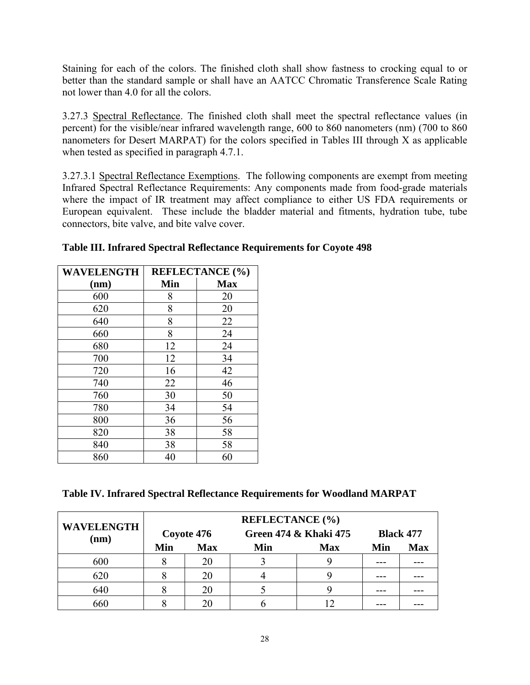Staining for each of the colors. The finished cloth shall show fastness to crocking equal to or better than the standard sample or shall have an AATCC Chromatic Transference Scale Rating not lower than 4.0 for all the colors.

3.27.3 Spectral Reflectance. The finished cloth shall meet the spectral reflectance values (in percent) for the visible/near infrared wavelength range, 600 to 860 nanometers (nm) (700 to 860 nanometers for Desert MARPAT) for the colors specified in Tables III through X as applicable when tested as specified in paragraph 4.7.1.

3.27.3.1 Spectral Reflectance Exemptions. The following components are exempt from meeting Infrared Spectral Reflectance Requirements: Any components made from food-grade materials where the impact of IR treatment may affect compliance to either US FDA requirements or European equivalent. These include the bladder material and fitments, hydration tube, tube connectors, bite valve, and bite valve cover.

| <b>WAVELENGTH</b> |     | <b>REFLECTANCE</b> (%) |
|-------------------|-----|------------------------|
| (nm)              | Min | <b>Max</b>             |
| 600               | 8   | 20                     |
| 620               | 8   | 20                     |
| 640               | 8   | 22                     |
| 660               | 8   | 24                     |
| 680               | 12  | 24                     |
| 700               | 12  | 34                     |
| 720               | 16  | 42                     |
| 740               | 22  | 46                     |
| 760               | 30  | 50                     |
| 780               | 34  | 54                     |
| 800               | 36  | 56                     |
| 820               | 38  | 58                     |
| 840               | 38  | 58                     |
| 860               | 40  | 60                     |

### **Table III. Infrared Spectral Reflectance Requirements for Coyote 498**

**Table IV. Infrared Spectral Reflectance Requirements for Woodland MARPAT** 

| <b>WAVELENGTH</b> | <b>REFLECTANCE</b> (%)<br>Green 474 & Khaki 475<br>Coyote 476 |            |     |            | <b>Black 477</b> |            |
|-------------------|---------------------------------------------------------------|------------|-----|------------|------------------|------------|
| (nm)              | Min                                                           | <b>Max</b> | Min | <b>Max</b> | Min              | <b>Max</b> |
| 600               |                                                               |            |     |            |                  |            |
| 620               |                                                               | 20         |     |            |                  |            |
| 640               |                                                               |            |     |            |                  |            |
| 660               |                                                               |            |     |            |                  |            |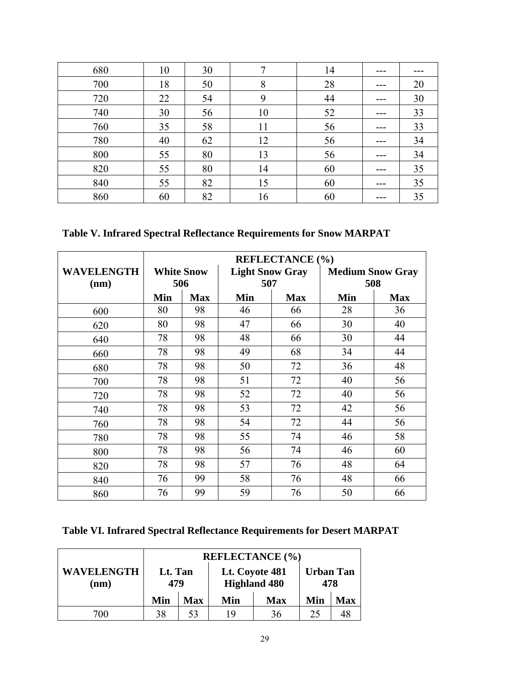| 680 | 10 | 30 |    | 14 |     |    |
|-----|----|----|----|----|-----|----|
| 700 | 18 | 50 | 8  | 28 | --- | 20 |
| 720 | 22 | 54 | 9  | 44 | --- | 30 |
| 740 | 30 | 56 | 10 | 52 | --- | 33 |
| 760 | 35 | 58 | 11 | 56 | --- | 33 |
| 780 | 40 | 62 | 12 | 56 | --- | 34 |
| 800 | 55 | 80 | 13 | 56 | --- | 34 |
| 820 | 55 | 80 | 14 | 60 | --- | 35 |
| 840 | 55 | 82 | 15 | 60 | --- | 35 |
| 860 | 60 | 82 | 16 | 60 |     | 35 |

**Table V. Infrared Spectral Reflectance Requirements for Snow MARPAT** 

|                           | <b>REFLECTANCE (%)</b> |                          |                               |            |                                |            |  |
|---------------------------|------------------------|--------------------------|-------------------------------|------------|--------------------------------|------------|--|
| <b>WAVELENGTH</b><br>(nm) |                        | <b>White Snow</b><br>506 | <b>Light Snow Gray</b><br>507 |            | <b>Medium Snow Gray</b><br>508 |            |  |
|                           | Min                    | <b>Max</b>               | Min                           | <b>Max</b> | Min                            | <b>Max</b> |  |
| 600                       | 80                     | 98                       | 46                            | 66         | 28                             | 36         |  |
| 620                       | 80                     | 98                       | 47                            | 66         | 30                             | 40         |  |
| 640                       | 78                     | 98                       | 48                            | 66         | 30                             | 44         |  |
| 660                       | 78                     | 98                       | 49                            | 68         | 34                             | 44         |  |
| 680                       | 78                     | 98                       | 50                            | 72         | 36                             | 48         |  |
| 700                       | 78                     | 98                       | 51                            | 72         | 40                             | 56         |  |
| 720                       | 78                     | 98                       | 52                            | 72         | 40                             | 56         |  |
| 740                       | 78                     | 98                       | 53                            | 72         | 42                             | 56         |  |
| 760                       | 78                     | 98                       | 54                            | 72         | 44                             | 56         |  |
| 780                       | 78                     | 98                       | 55                            | 74         | 46                             | 58         |  |
| 800                       | 78                     | 98                       | 56                            | 74         | 46                             | 60         |  |
| 820                       | 78                     | 98                       | 57                            | 76         | 48                             | 64         |  |
| 840                       | 76                     | 99                       | 58                            | 76         | 48                             | 66         |  |
| 860                       | 76                     | 99                       | 59                            | 76         | 50                             | 66         |  |

**Table VI. Infrared Spectral Reflectance Requirements for Desert MARPAT** 

|                           | <b>REFLECTANCE</b> (%) |            |                                       |            |                         |            |
|---------------------------|------------------------|------------|---------------------------------------|------------|-------------------------|------------|
| <b>WAVELENGTH</b><br>(nm) | Lt. Tan<br>479         |            | Lt. Coyote 481<br><b>Highland 480</b> |            | <b>Urban Tan</b><br>478 |            |
|                           | Min                    | <b>Max</b> | Min                                   | <b>Max</b> | Min                     | <b>Max</b> |
| 700.                      | 38                     | 53         | 1 Q                                   | 36         | 25                      | 4۲         |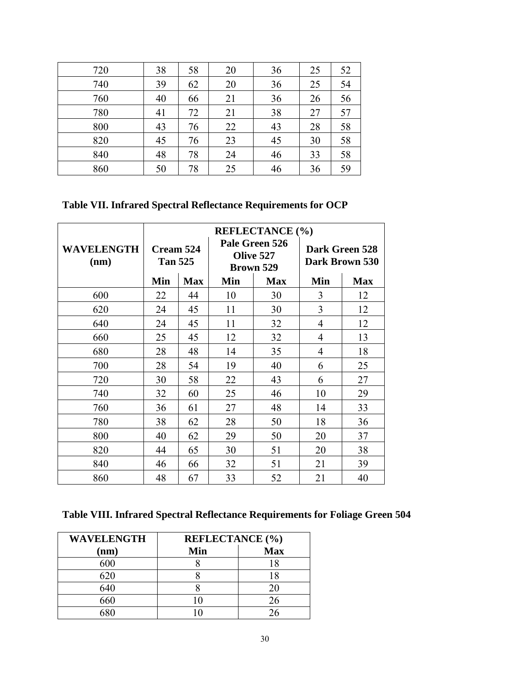| 720 | 38 | 58 | 20 | 36 | 25 | 52 |
|-----|----|----|----|----|----|----|
| 740 | 39 | 62 | 20 | 36 | 25 | 54 |
| 760 | 40 | 66 | 21 | 36 | 26 | 56 |
| 780 | 41 | 72 | 21 | 38 | 27 | 57 |
| 800 | 43 | 76 | 22 | 43 | 28 | 58 |
| 820 | 45 | 76 | 23 | 45 | 30 | 58 |
| 840 | 48 | 78 | 24 | 46 | 33 | 58 |
| 860 | 50 | 78 | 25 | 46 | 36 | 59 |

# **Table VII. Infrared Spectral Reflectance Requirements for OCP**

|                           | <b>REFLECTANCE (%)</b>      |            |                                          |            |                                  |            |
|---------------------------|-----------------------------|------------|------------------------------------------|------------|----------------------------------|------------|
| <b>WAVELENGTH</b><br>(nm) | Cream 524<br><b>Tan 525</b> |            | Pale Green 526<br>Olive 527<br>Brown 529 |            | Dark Green 528<br>Dark Brown 530 |            |
|                           | Min                         | <b>Max</b> | Min                                      | <b>Max</b> | Min                              | <b>Max</b> |
| 600                       | 22                          | 44         | 10                                       | 30         | 3                                | 12         |
| 620                       | 24                          | 45         | 11                                       | 30         | 3                                | 12         |
| 640                       | 24                          | 45         | 11                                       | 32         | 4                                | 12         |
| 660                       | 25                          | 45         | 12                                       | 32         | 4                                | 13         |
| 680                       | 28                          | 48         | 14                                       | 35         | 4                                | 18         |
| 700                       | 28                          | 54         | 19                                       | 40         | 6                                | 25         |
| 720                       | 30                          | 58         | 22                                       | 43         | 6                                | 27         |
| 740                       | 32                          | 60         | 25                                       | 46         | 10                               | 29         |
| 760                       | 36                          | 61         | 27                                       | 48         | 14                               | 33         |
| 780                       | 38                          | 62         | 28                                       | 50         | 18                               | 36         |
| 800                       | 40                          | 62         | 29                                       | 50         | 20                               | 37         |
| 820                       | 44                          | 65         | 30                                       | 51         | 20                               | 38         |
| 840                       | 46                          | 66         | 32                                       | 51         | 21                               | 39         |
| 860                       | 48                          | 67         | 33                                       | 52         | 21                               | 40         |

# **Table VIII. Infrared Spectral Reflectance Requirements for Foliage Green 504**

| <b>WAVELENGTH</b> | <b>REFLECTANCE</b> (%) |            |  |  |  |
|-------------------|------------------------|------------|--|--|--|
| (nm)              | Min                    | <b>Max</b> |  |  |  |
| 600               |                        | 18         |  |  |  |
| 620               |                        | 18         |  |  |  |
| 640               |                        | 20         |  |  |  |
| 660               |                        | 26         |  |  |  |
|                   |                        |            |  |  |  |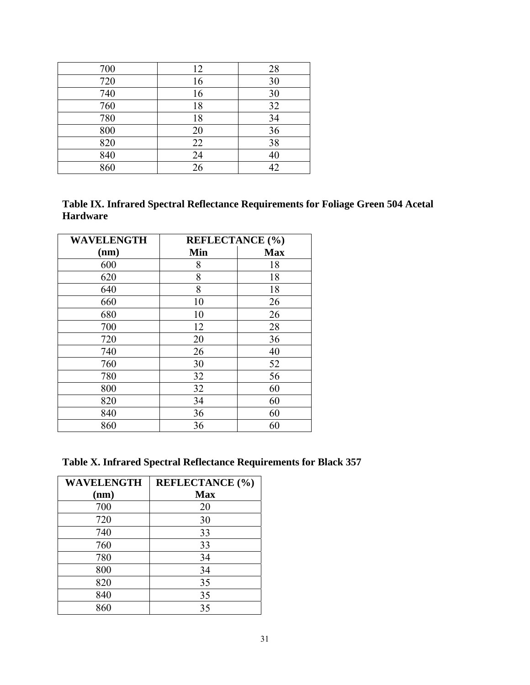| 700 | 12 | 28 |
|-----|----|----|
| 720 | 16 | 30 |
| 740 | 16 | 30 |
| 760 | 18 | 32 |
| 780 | 18 | 34 |
| 800 | 20 | 36 |
| 820 | 22 | 38 |
| 840 | 24 | 40 |
| 860 | 26 | 42 |

| Table IX. Infrared Spectral Reflectance Requirements for Foliage Green 504 Acetal |
|-----------------------------------------------------------------------------------|
| <b>Hardware</b>                                                                   |

| <b>WAVELENGTH</b> | <b>REFLECTANCE</b> (%) |            |
|-------------------|------------------------|------------|
| (nm)              | Min                    | <b>Max</b> |
| 600               | 8                      | 18         |
| 620               | 8                      | 18         |
| 640               | 8                      | 18         |
| 660               | 10                     | 26         |
| 680               | 10                     | 26         |
| 700               | 12                     | 28         |
| 720               | 20                     | 36         |
| 740               | 26                     | 40         |
| 760               | 30                     | 52         |
| 780               | 32                     | 56         |
| 800               | 32                     | 60         |
| 820               | 34                     | 60         |
| 840               | 36                     | 60         |
| 860               | 36                     | 60         |

**Table X. Infrared Spectral Reflectance Requirements for Black 357** 

| <b>WAVELENGTH</b> | <b>REFLECTANCE</b> (%) |
|-------------------|------------------------|
| (nm)              | <b>Max</b>             |
| 700               | 20                     |
| 720               | 30                     |
| 740               | 33                     |
| 760               | 33                     |
| 780               | 34                     |
| 800               | 34                     |
| 820               | 35                     |
| 840               | 35                     |
| 860               | 35                     |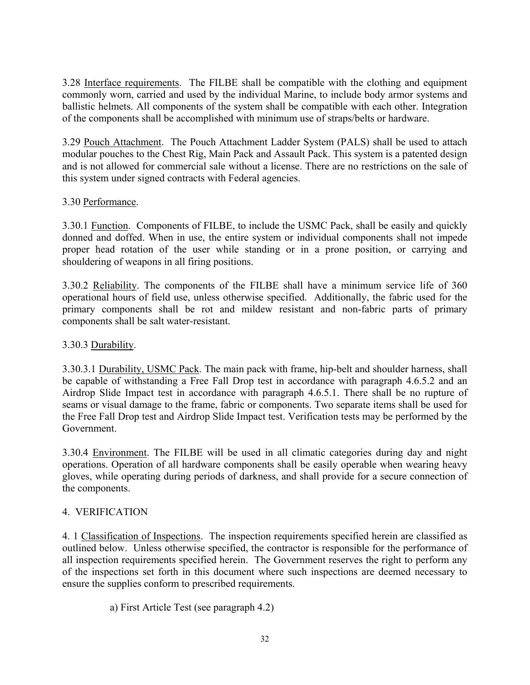3.28 Interface requirements. The FILBE shall be compatible with the clothing and equipment commonly worn, carried and used by the individual Marine, to include body armor systems and ballistic helmets. All components of the system shall be compatible with each other. Integration of the components shall be accomplished with minimum use of straps/belts or hardware.

3.29 Pouch Attachment. The Pouch Attachment Ladder System (PALS) shall be used to attach modular pouches to the Chest Rig, Main Pack and Assault Pack. This system is a patented design and is not allowed for commercial sale without a license. There are no restrictions on the sale of this system under signed contracts with Federal agencies.

### 3.30 Performance.

3.30.1 Function. Components of FILBE, to include the USMC Pack, shall be easily and quickly donned and doffed. When in use, the entire system or individual components shall not impede proper head rotation of the user while standing or in a prone position, or carrying and shouldering of weapons in all firing positions.

3.30.2 Reliability. The components of the FILBE shall have a minimum service life of 360 operational hours of field use, unless otherwise specified. Additionally, the fabric used for the primary components shall be rot and mildew resistant and non-fabric parts of primary components shall be salt water-resistant.

### 3.30.3 Durability.

3.30.3.1 Durability, USMC Pack. The main pack with frame, hip-belt and shoulder harness, shall be capable of withstanding a Free Fall Drop test in accordance with paragraph 4.6.5.2 and an Airdrop Slide Impact test in accordance with paragraph 4.6.5.1. There shall be no rupture of seams or visual damage to the frame, fabric or components. Two separate items shall be used for the Free Fall Drop test and Airdrop Slide Impact test. Verification tests may be performed by the Government.

3.30.4 Environment. The FILBE will be used in all climatic categories during day and night operations. Operation of all hardware components shall be easily operable when wearing heavy gloves, while operating during periods of darkness, and shall provide for a secure connection of the components.

#### 4. VERIFICATION

4. 1 Classification of Inspections. The inspection requirements specified herein are classified as outlined below. Unless otherwise specified, the contractor is responsible for the performance of all inspection requirements specified herein. The Government reserves the right to perform any of the inspections set forth in this document where such inspections are deemed necessary to ensure the supplies conform to prescribed requirements.

a) First Article Test (see paragraph 4.2)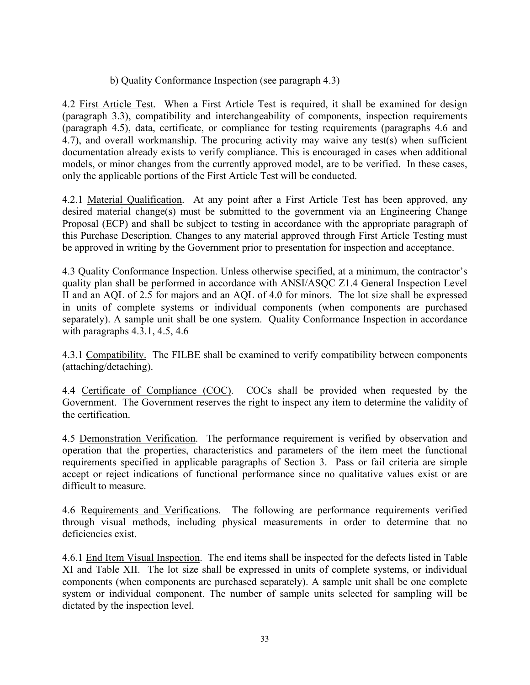b) Quality Conformance Inspection (see paragraph 4.3)

4.2 First Article Test. When a First Article Test is required, it shall be examined for design (paragraph 3.3), compatibility and interchangeability of components, inspection requirements (paragraph 4.5), data, certificate, or compliance for testing requirements (paragraphs 4.6 and 4.7), and overall workmanship. The procuring activity may waive any test(s) when sufficient documentation already exists to verify compliance. This is encouraged in cases when additional models, or minor changes from the currently approved model, are to be verified. In these cases, only the applicable portions of the First Article Test will be conducted.

4.2.1 Material Qualification. At any point after a First Article Test has been approved, any desired material change(s) must be submitted to the government via an Engineering Change Proposal (ECP) and shall be subject to testing in accordance with the appropriate paragraph of this Purchase Description. Changes to any material approved through First Article Testing must be approved in writing by the Government prior to presentation for inspection and acceptance.

4.3 Quality Conformance Inspection. Unless otherwise specified, at a minimum, the contractor's quality plan shall be performed in accordance with ANSI/ASQC Z1.4 General Inspection Level II and an AQL of 2.5 for majors and an AQL of 4.0 for minors. The lot size shall be expressed in units of complete systems or individual components (when components are purchased separately). A sample unit shall be one system. Quality Conformance Inspection in accordance with paragraphs 4.3.1, 4.5, 4.6

4.3.1 Compatibility. The FILBE shall be examined to verify compatibility between components (attaching/detaching).

4.4 Certificate of Compliance (COC). COCs shall be provided when requested by the Government. The Government reserves the right to inspect any item to determine the validity of the certification.

4.5 Demonstration Verification. The performance requirement is verified by observation and operation that the properties, characteristics and parameters of the item meet the functional requirements specified in applicable paragraphs of Section 3. Pass or fail criteria are simple accept or reject indications of functional performance since no qualitative values exist or are difficult to measure.

4.6 Requirements and Verifications. The following are performance requirements verified through visual methods, including physical measurements in order to determine that no deficiencies exist.

4.6.1 End Item Visual Inspection. The end items shall be inspected for the defects listed in Table XI and Table XII. The lot size shall be expressed in units of complete systems, or individual components (when components are purchased separately). A sample unit shall be one complete system or individual component. The number of sample units selected for sampling will be dictated by the inspection level.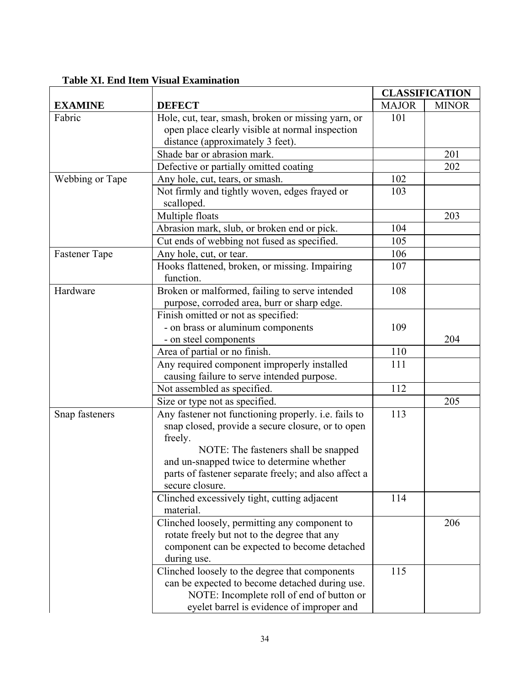# **Table XI. End Item Visual Examination**

|                 |                                                      |              | <b>CLASSIFICATION</b> |
|-----------------|------------------------------------------------------|--------------|-----------------------|
| <b>EXAMINE</b>  | <b>DEFECT</b>                                        | <b>MAJOR</b> | <b>MINOR</b>          |
| Fabric          | Hole, cut, tear, smash, broken or missing yarn, or   | 101          |                       |
|                 | open place clearly visible at normal inspection      |              |                       |
|                 | distance (approximately 3 feet).                     |              |                       |
|                 | Shade bar or abrasion mark.                          |              | 201                   |
|                 | Defective or partially omitted coating               |              | 202                   |
| Webbing or Tape | Any hole, cut, tears, or smash.                      | 102          |                       |
|                 | Not firmly and tightly woven, edges frayed or        | 103          |                       |
|                 | scalloped.                                           |              |                       |
|                 | Multiple floats                                      |              | 203                   |
|                 | Abrasion mark, slub, or broken end or pick.          | 104          |                       |
|                 | Cut ends of webbing not fused as specified.          | 105          |                       |
| Fastener Tape   | Any hole, cut, or tear.                              | 106          |                       |
|                 | Hooks flattened, broken, or missing. Impairing       | 107          |                       |
|                 | function.                                            |              |                       |
| Hardware        | Broken or malformed, failing to serve intended       | 108          |                       |
|                 | purpose, corroded area, burr or sharp edge.          |              |                       |
|                 | Finish omitted or not as specified:                  |              |                       |
|                 | - on brass or aluminum components                    | 109          |                       |
|                 | - on steel components                                |              | 204                   |
|                 | Area of partial or no finish.                        | 110          |                       |
|                 | Any required component improperly installed          | 111          |                       |
|                 | causing failure to serve intended purpose.           |              |                       |
|                 | Not assembled as specified.                          | 112          |                       |
|                 | Size or type not as specified.                       |              | 205                   |
| Snap fasteners  | Any fastener not functioning properly. i.e. fails to | 113          |                       |
|                 | snap closed, provide a secure closure, or to open    |              |                       |
|                 | freely.                                              |              |                       |
|                 | NOTE: The fasteners shall be snapped                 |              |                       |
|                 | and un-snapped twice to determine whether            |              |                       |
|                 | parts of fastener separate freely; and also affect a |              |                       |
|                 | secure closure.                                      |              |                       |
|                 | Clinched excessively tight, cutting adjacent         | 114          |                       |
|                 | material.                                            |              |                       |
|                 | Clinched loosely, permitting any component to        |              | 206                   |
|                 | rotate freely but not to the degree that any         |              |                       |
|                 | component can be expected to become detached         |              |                       |
|                 | during use.                                          |              |                       |
|                 | Clinched loosely to the degree that components       | 115          |                       |
|                 | can be expected to become detached during use.       |              |                       |
|                 | NOTE: Incomplete roll of end of button or            |              |                       |
|                 | eyelet barrel is evidence of improper and            |              |                       |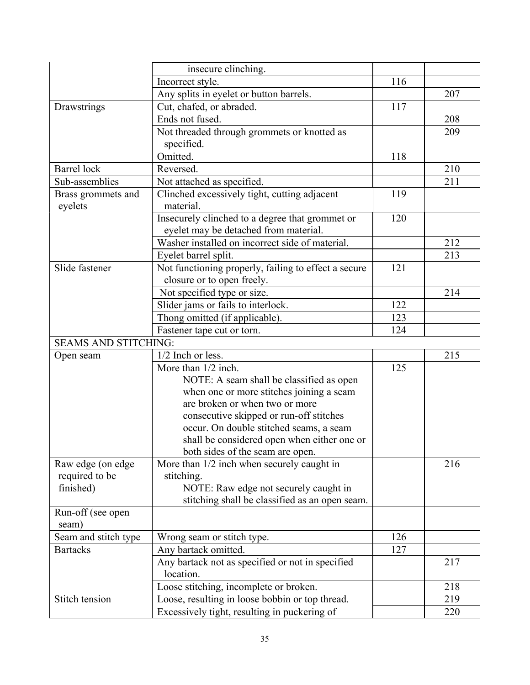|                             | insecure clinching.                                  |     |     |
|-----------------------------|------------------------------------------------------|-----|-----|
|                             | Incorrect style.                                     | 116 |     |
|                             | Any splits in eyelet or button barrels.              |     | 207 |
| Drawstrings                 | Cut, chafed, or abraded.                             | 117 |     |
|                             | Ends not fused.                                      |     | 208 |
|                             | Not threaded through grommets or knotted as          |     | 209 |
|                             | specified.                                           |     |     |
|                             | Omitted.                                             | 118 |     |
| <b>Barrel</b> lock          | Reversed.                                            |     | 210 |
| Sub-assemblies              | Not attached as specified.                           |     | 211 |
| Brass grommets and          | Clinched excessively tight, cutting adjacent         | 119 |     |
| eyelets                     | material.                                            |     |     |
|                             | Insecurely clinched to a degree that grommet or      | 120 |     |
|                             | eyelet may be detached from material.                |     |     |
|                             | Washer installed on incorrect side of material.      |     | 212 |
|                             | Eyelet barrel split.                                 |     | 213 |
| Slide fastener              | Not functioning properly, failing to effect a secure | 121 |     |
|                             | closure or to open freely.                           |     |     |
|                             | Not specified type or size.                          |     | 214 |
|                             | Slider jams or fails to interlock.                   | 122 |     |
|                             | Thong omitted (if applicable).                       | 123 |     |
|                             | Fastener tape cut or torn.                           | 124 |     |
| <b>SEAMS AND STITCHING:</b> |                                                      |     |     |
| Open seam                   | 1/2 Inch or less.                                    |     | 215 |
|                             | More than 1/2 inch.                                  | 125 |     |
|                             | NOTE: A seam shall be classified as open             |     |     |
|                             | when one or more stitches joining a seam             |     |     |
|                             | are broken or when two or more                       |     |     |
|                             | consecutive skipped or run-off stitches              |     |     |
|                             | occur. On double stitched seams, a seam              |     |     |
|                             | shall be considered open when either one or          |     |     |
|                             | both sides of the seam are open.                     |     |     |
| Raw edge (on edge           | More than 1/2 inch when securely caught in           |     | 216 |
| required to be              | stitching.                                           |     |     |
| finished)                   | NOTE: Raw edge not securely caught in                |     |     |
|                             | stitching shall be classified as an open seam.       |     |     |
| Run-off (see open<br>seam)  |                                                      |     |     |
| Seam and stitch type        | Wrong seam or stitch type.                           | 126 |     |
| <b>Bartacks</b>             | Any bartack omitted.                                 | 127 |     |
|                             | Any bartack not as specified or not in specified     |     | 217 |
|                             | location.                                            |     |     |
|                             | Loose stitching, incomplete or broken.               |     | 218 |
| Stitch tension              | Loose, resulting in loose bobbin or top thread.      |     | 219 |
|                             | Excessively tight, resulting in puckering of         |     | 220 |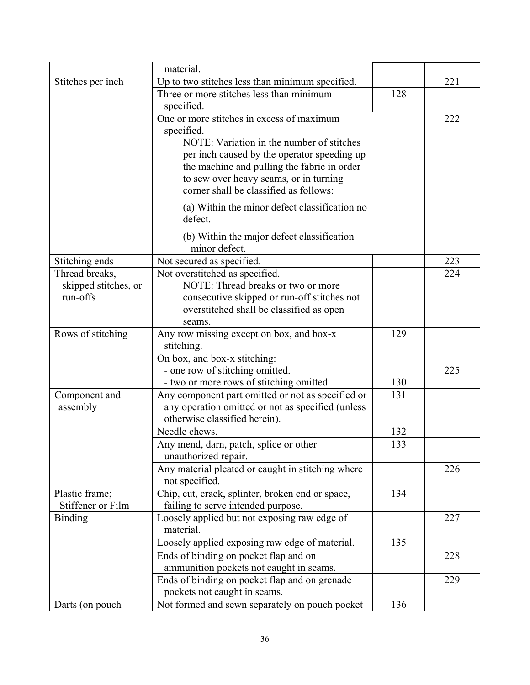|                                                    | material.                                                                                                                                                                      |     |     |
|----------------------------------------------------|--------------------------------------------------------------------------------------------------------------------------------------------------------------------------------|-----|-----|
| Stitches per inch                                  | Up to two stitches less than minimum specified.                                                                                                                                |     | 221 |
|                                                    | Three or more stitches less than minimum<br>specified.                                                                                                                         | 128 |     |
|                                                    | One or more stitches in excess of maximum<br>specified.<br>NOTE: Variation in the number of stitches                                                                           |     | 222 |
|                                                    | per inch caused by the operator speeding up<br>the machine and pulling the fabric in order<br>to sew over heavy seams, or in turning<br>corner shall be classified as follows: |     |     |
|                                                    | (a) Within the minor defect classification no<br>defect.                                                                                                                       |     |     |
|                                                    | (b) Within the major defect classification<br>minor defect.                                                                                                                    |     |     |
| Stitching ends                                     | Not secured as specified.                                                                                                                                                      |     | 223 |
| Thread breaks,<br>skipped stitches, or<br>run-offs | Not overstitched as specified.<br>NOTE: Thread breaks or two or more<br>consecutive skipped or run-off stitches not                                                            |     | 224 |
|                                                    | overstitched shall be classified as open<br>seams.                                                                                                                             |     |     |
| Rows of stitching                                  | Any row missing except on box, and box-x<br>stitching.                                                                                                                         | 129 |     |
|                                                    | On box, and box-x stitching:<br>- one row of stitching omitted.                                                                                                                |     | 225 |
|                                                    | - two or more rows of stitching omitted.                                                                                                                                       | 130 |     |
| Component and<br>assembly                          | Any component part omitted or not as specified or<br>any operation omitted or not as specified (unless<br>otherwise classified herein).                                        | 131 |     |
|                                                    | Needle chews.                                                                                                                                                                  | 132 |     |
|                                                    | Any mend, darn, patch, splice or other<br>unauthorized repair.                                                                                                                 | 133 |     |
|                                                    | Any material pleated or caught in stitching where<br>not specified.                                                                                                            |     | 226 |
| Plastic frame;<br>Stiffener or Film                | Chip, cut, crack, splinter, broken end or space,<br>failing to serve intended purpose.                                                                                         | 134 |     |
| <b>Binding</b>                                     | Loosely applied but not exposing raw edge of<br>material.                                                                                                                      |     | 227 |
|                                                    | Loosely applied exposing raw edge of material.                                                                                                                                 | 135 |     |
|                                                    | Ends of binding on pocket flap and on<br>ammunition pockets not caught in seams.                                                                                               |     | 228 |
|                                                    | Ends of binding on pocket flap and on grenade<br>pockets not caught in seams.                                                                                                  |     | 229 |
| Darts (on pouch)                                   | Not formed and sewn separately on pouch pocket                                                                                                                                 | 136 |     |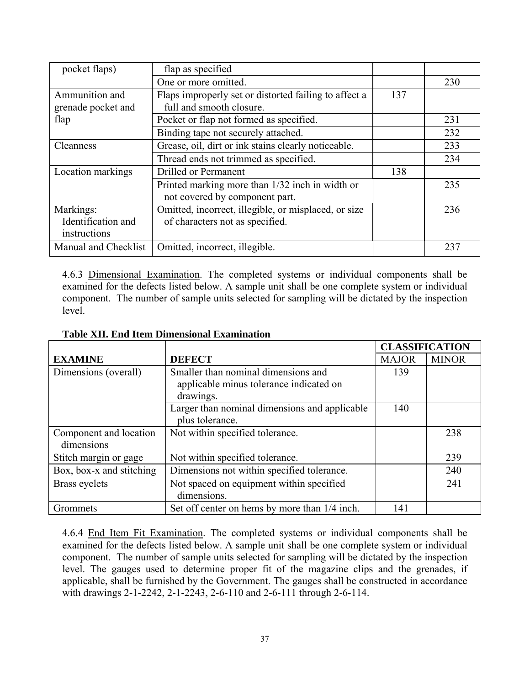| pocket flaps)        | flap as specified                                     |     |     |
|----------------------|-------------------------------------------------------|-----|-----|
|                      | One or more omitted.                                  |     | 230 |
| Ammunition and       | Flaps improperly set or distorted failing to affect a | 137 |     |
| grenade pocket and   | full and smooth closure.                              |     |     |
| flap                 | Pocket or flap not formed as specified.               |     | 231 |
|                      | Binding tape not securely attached.                   |     | 232 |
| Cleanness            | Grease, oil, dirt or ink stains clearly noticeable.   |     | 233 |
|                      | Thread ends not trimmed as specified.                 |     | 234 |
| Location markings    | Drilled or Permanent                                  | 138 |     |
|                      | Printed marking more than 1/32 inch in width or       |     | 235 |
|                      | not covered by component part.                        |     |     |
| Markings:            | Omitted, incorrect, illegible, or misplaced, or size  |     | 236 |
| Identification and   | of characters not as specified.                       |     |     |
| instructions         |                                                       |     |     |
| Manual and Checklist | Omitted, incorrect, illegible.                        |     | 237 |

4.6.3 Dimensional Examination. The completed systems or individual components shall be examined for the defects listed below. A sample unit shall be one complete system or individual component. The number of sample units selected for sampling will be dictated by the inspection level.

|                          |                                               | <b>CLASSIFICATION</b> |              |
|--------------------------|-----------------------------------------------|-----------------------|--------------|
| <b>EXAMINE</b>           | <b>DEFECT</b>                                 | <b>MAJOR</b>          | <b>MINOR</b> |
| Dimensions (overall)     | Smaller than nominal dimensions and           | 139                   |              |
|                          | applicable minus tolerance indicated on       |                       |              |
|                          | drawings.                                     |                       |              |
|                          | Larger than nominal dimensions and applicable | 140                   |              |
|                          | plus tolerance.                               |                       |              |
| Component and location   | Not within specified tolerance.               |                       | 238          |
| dimensions               |                                               |                       |              |
| Stitch margin or gage    | Not within specified tolerance.               |                       | 239          |
| Box, box-x and stitching | Dimensions not within specified tolerance.    |                       | 240          |
| Brass eyelets            | Not spaced on equipment within specified      |                       | 241          |
|                          | dimensions.                                   |                       |              |
| Grommets                 | Set off center on hems by more than 1/4 inch. | 141                   |              |

#### **Table XII. End Item Dimensional Examination**

4.6.4 End Item Fit Examination. The completed systems or individual components shall be examined for the defects listed below. A sample unit shall be one complete system or individual component. The number of sample units selected for sampling will be dictated by the inspection level. The gauges used to determine proper fit of the magazine clips and the grenades, if applicable, shall be furnished by the Government. The gauges shall be constructed in accordance with drawings 2-1-2242, 2-1-2243, 2-6-110 and 2-6-111 through 2-6-114.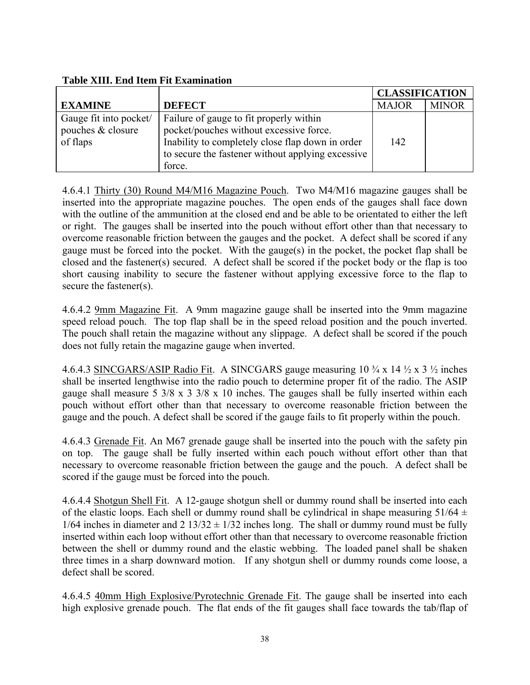### **Table XIII. End Item Fit Examination**

|                                                         |                                                                                                                                                                                                       | <b>CLASSIFICATION</b> |              |
|---------------------------------------------------------|-------------------------------------------------------------------------------------------------------------------------------------------------------------------------------------------------------|-----------------------|--------------|
| <b>EXAMINE</b>                                          | <b>DEFECT</b>                                                                                                                                                                                         | <b>MAJOR</b>          | <b>MINOR</b> |
| Gauge fit into pocket/<br>pouches & closure<br>of flaps | Failure of gauge to fit properly within<br>pocket/pouches without excessive force.<br>Inability to completely close flap down in order<br>to secure the fastener without applying excessive<br>force. | 142                   |              |

4.6.4.1 Thirty (30) Round M4/M16 Magazine Pouch. Two M4/M16 magazine gauges shall be inserted into the appropriate magazine pouches. The open ends of the gauges shall face down with the outline of the ammunition at the closed end and be able to be orientated to either the left or right. The gauges shall be inserted into the pouch without effort other than that necessary to overcome reasonable friction between the gauges and the pocket. A defect shall be scored if any gauge must be forced into the pocket. With the gauge(s) in the pocket, the pocket flap shall be closed and the fastener(s) secured. A defect shall be scored if the pocket body or the flap is too short causing inability to secure the fastener without applying excessive force to the flap to secure the fastener(s).

4.6.4.2 9mm Magazine Fit. A 9mm magazine gauge shall be inserted into the 9mm magazine speed reload pouch. The top flap shall be in the speed reload position and the pouch inverted. The pouch shall retain the magazine without any slippage. A defect shall be scored if the pouch does not fully retain the magazine gauge when inverted.

4.6.4.3 SINCGARS/ASIP Radio Fit. A SINCGARS gauge measuring  $10\frac{3}{4} \times 14\frac{1}{2} \times 3\frac{1}{2}$  inches shall be inserted lengthwise into the radio pouch to determine proper fit of the radio. The ASIP gauge shall measure 5 3/8 x 3 3/8 x 10 inches. The gauges shall be fully inserted within each pouch without effort other than that necessary to overcome reasonable friction between the gauge and the pouch. A defect shall be scored if the gauge fails to fit properly within the pouch.

4.6.4.3 Grenade Fit. An M67 grenade gauge shall be inserted into the pouch with the safety pin on top. The gauge shall be fully inserted within each pouch without effort other than that necessary to overcome reasonable friction between the gauge and the pouch. A defect shall be scored if the gauge must be forced into the pouch.

4.6.4.4 Shotgun Shell Fit. A 12-gauge shotgun shell or dummy round shall be inserted into each of the elastic loops. Each shell or dummy round shall be cylindrical in shape measuring  $51/64 \pm 1$  $1/64$  inches in diameter and  $2 \frac{13}{32} \pm \frac{1}{32}$  inches long. The shall or dummy round must be fully inserted within each loop without effort other than that necessary to overcome reasonable friction between the shell or dummy round and the elastic webbing. The loaded panel shall be shaken three times in a sharp downward motion. If any shotgun shell or dummy rounds come loose, a defect shall be scored.

4.6.4.5 40mm High Explosive/Pyrotechnic Grenade Fit. The gauge shall be inserted into each high explosive grenade pouch. The flat ends of the fit gauges shall face towards the tab/flap of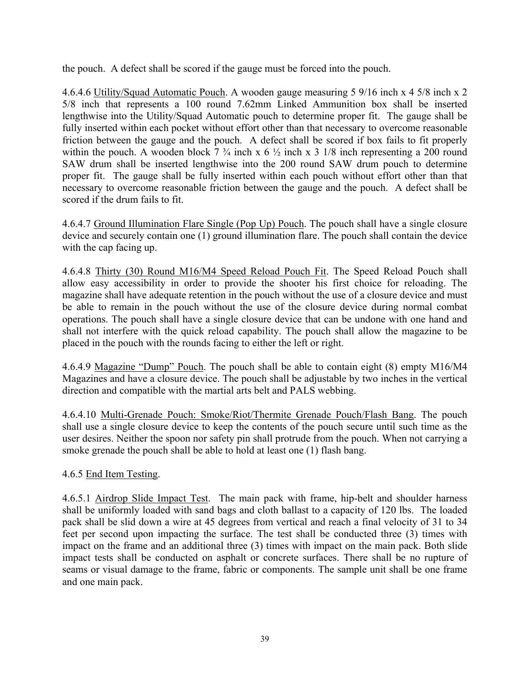the pouch. A defect shall be scored if the gauge must be forced into the pouch.

4.6.4.6 Utility/Squad Automatic Pouch. A wooden gauge measuring 5 9/16 inch x 4 5/8 inch x 2 5/8 inch that represents a 100 round 7.62mm Linked Ammunition box shall be inserted lengthwise into the Utility/Squad Automatic pouch to determine proper fit. The gauge shall be fully inserted within each pocket without effort other than that necessary to overcome reasonable friction between the gauge and the pouch. A defect shall be scored if box fails to fit properly within the pouch. A wooden block  $7 \frac{3}{4}$  inch x 6  $\frac{1}{2}$  inch x 3 1/8 inch representing a 200 round SAW drum shall be inserted lengthwise into the 200 round SAW drum pouch to determine proper fit. The gauge shall be fully inserted within each pouch without effort other than that necessary to overcome reasonable friction between the gauge and the pouch. A defect shall be scored if the drum fails to fit.

4.6.4.7 Ground Illumination Flare Single (Pop Up) Pouch. The pouch shall have a single closure device and securely contain one (1) ground illumination flare. The pouch shall contain the device with the cap facing up.

4.6.4.8 Thirty (30) Round M16/M4 Speed Reload Pouch Fit. The Speed Reload Pouch shall allow easy accessibility in order to provide the shooter his first choice for reloading. The magazine shall have adequate retention in the pouch without the use of a closure device and must be able to remain in the pouch without the use of the closure device during normal combat operations. The pouch shall have a single closure device that can be undone with one hand and shall not interfere with the quick reload capability. The pouch shall allow the magazine to be placed in the pouch with the rounds facing to either the left or right.

4.6.4.9 Magazine "Dump" Pouch. The pouch shall be able to contain eight (8) empty M16/M4 Magazines and have a closure device. The pouch shall be adjustable by two inches in the vertical direction and compatible with the martial arts belt and PALS webbing.

4.6.4.10 Multi-Grenade Pouch: Smoke/Riot/Thermite Grenade Pouch/Flash Bang. The pouch shall use a single closure device to keep the contents of the pouch secure until such time as the user desires. Neither the spoon nor safety pin shall protrude from the pouch. When not carrying a smoke grenade the pouch shall be able to hold at least one (1) flash bang.

### 4.6.5 End Item Testing.

4.6.5.1 Airdrop Slide Impact Test. The main pack with frame, hip-belt and shoulder harness shall be uniformly loaded with sand bags and cloth ballast to a capacity of 120 lbs. The loaded pack shall be slid down a wire at 45 degrees from vertical and reach a final velocity of 31 to 34 feet per second upon impacting the surface. The test shall be conducted three (3) times with impact on the frame and an additional three (3) times with impact on the main pack. Both slide impact tests shall be conducted on asphalt or concrete surfaces. There shall be no rupture of seams or visual damage to the frame, fabric or components. The sample unit shall be one frame and one main pack.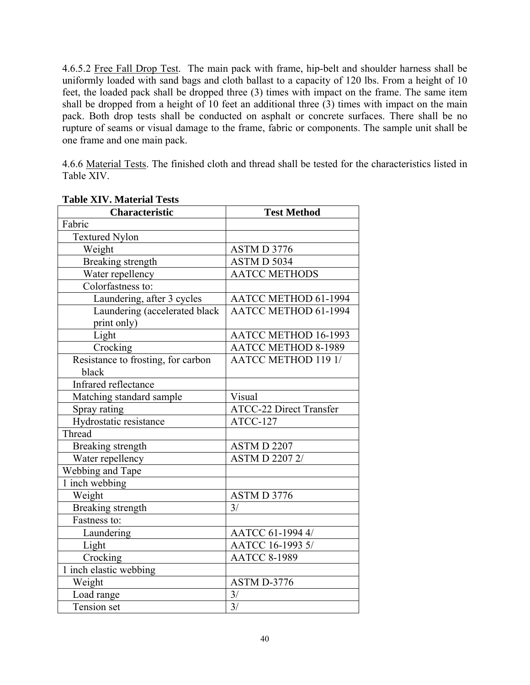4.6.5.2 Free Fall Drop Test. The main pack with frame, hip-belt and shoulder harness shall be uniformly loaded with sand bags and cloth ballast to a capacity of 120 lbs. From a height of 10 feet, the loaded pack shall be dropped three (3) times with impact on the frame. The same item shall be dropped from a height of 10 feet an additional three (3) times with impact on the main pack. Both drop tests shall be conducted on asphalt or concrete surfaces. There shall be no rupture of seams or visual damage to the frame, fabric or components. The sample unit shall be one frame and one main pack.

4.6.6 Material Tests. The finished cloth and thread shall be tested for the characteristics listed in Table XIV.

| Table XIV. Material Tests                    |                                |  |  |  |
|----------------------------------------------|--------------------------------|--|--|--|
| Characteristic                               | <b>Test Method</b>             |  |  |  |
| Fabric                                       |                                |  |  |  |
| <b>Textured Nylon</b>                        |                                |  |  |  |
| Weight                                       | ASTMD 3776                     |  |  |  |
| Breaking strength                            | ASTM D 5034                    |  |  |  |
| Water repellency                             | <b>AATCC METHODS</b>           |  |  |  |
| Colorfastness to:                            |                                |  |  |  |
| Laundering, after 3 cycles                   | AATCC METHOD 61-1994           |  |  |  |
| Laundering (accelerated black<br>print only) | <b>AATCC METHOD 61-1994</b>    |  |  |  |
| Light                                        | AATCC METHOD 16-1993           |  |  |  |
| Crocking                                     | <b>AATCC METHOD 8-1989</b>     |  |  |  |
| Resistance to frosting, for carbon           | <b>AATCC METHOD 119 1/</b>     |  |  |  |
| black                                        |                                |  |  |  |
| Infrared reflectance                         |                                |  |  |  |
| Matching standard sample                     | Visual                         |  |  |  |
| Spray rating                                 | <b>ATCC-22 Direct Transfer</b> |  |  |  |
| Hydrostatic resistance                       | ATCC-127                       |  |  |  |
| Thread                                       |                                |  |  |  |
| Breaking strength                            | ASTM D 2207                    |  |  |  |
| Water repellency                             | <b>ASTMD 22072/</b>            |  |  |  |
| Webbing and Tape                             |                                |  |  |  |
| 1 inch webbing                               |                                |  |  |  |
| Weight                                       | <b>ASTMD 3776</b>              |  |  |  |
| Breaking strength                            | 3/                             |  |  |  |
| Fastness to:                                 |                                |  |  |  |
| Laundering                                   | AATCC 61-1994 4/               |  |  |  |
| Light                                        | AATCC 16-1993 5/               |  |  |  |
| Crocking                                     | <b>AATCC 8-1989</b>            |  |  |  |
| 1 inch elastic webbing                       |                                |  |  |  |
| Weight                                       | ASTM D-3776                    |  |  |  |
| Load range                                   | 3/                             |  |  |  |
| Tension set                                  | $\overline{3/}$                |  |  |  |

### **Table XIV. Material Tests**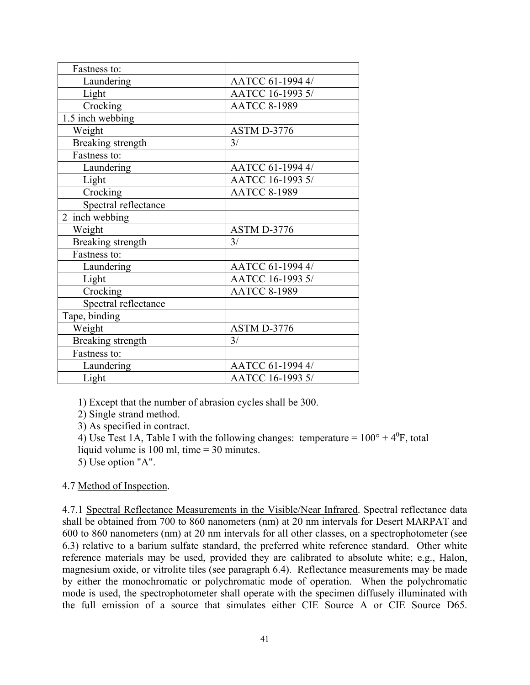| Fastness to:                  |                     |
|-------------------------------|---------------------|
| Laundering                    | AATCC 61-1994 4/    |
| Light                         | AATCC 16-1993 5/    |
| Crocking                      | <b>AATCC 8-1989</b> |
| $\overline{1.5}$ inch webbing |                     |
| Weight                        | ASTM D-3776         |
| Breaking strength             | 3/                  |
| Fastness to:                  |                     |
| Laundering                    | AATCC 61-1994 4/    |
| Light                         | AATCC 16-1993 5/    |
| Crocking                      | <b>AATCC 8-1989</b> |
| Spectral reflectance          |                     |
| $\overline{2}$ inch webbing   |                     |
| Weight                        | ASTM D-3776         |
| Breaking strength             | 3/                  |
| Fastness to:                  |                     |
| Laundering                    | AATCC 61-1994 4/    |
| Light                         | AATCC 16-1993 5/    |
| Crocking                      | <b>AATCC 8-1989</b> |
| Spectral reflectance          |                     |
| Tape, binding                 |                     |
| Weight                        | ASTM D-3776         |
| Breaking strength             | 3/                  |
| Fastness to:                  |                     |
| Laundering                    | AATCC 61-1994 4/    |
| Light                         | AATCC 16-1993 5/    |

1) Except that the number of abrasion cycles shall be 300.

2) Single strand method.

3) As specified in contract.

4) Use Test 1A, Table I with the following changes: temperature =  $100^{\circ} + 4^{\circ}$ F, total liquid volume is 100 ml, time = 30 minutes.

5) Use option "A".

### 4.7 Method of Inspection.

4.7.1 Spectral Reflectance Measurements in the Visible/Near Infrared. Spectral reflectance data shall be obtained from 700 to 860 nanometers (nm) at 20 nm intervals for Desert MARPAT and 600 to 860 nanometers (nm) at 20 nm intervals for all other classes, on a spectrophotometer (see 6.3) relative to a barium sulfate standard, the preferred white reference standard. Other white reference materials may be used, provided they are calibrated to absolute white; e.g., Halon, magnesium oxide, or vitrolite tiles (see paragraph 6.4). Reflectance measurements may be made by either the monochromatic or polychromatic mode of operation. When the polychromatic mode is used, the spectrophotometer shall operate with the specimen diffusely illuminated with the full emission of a source that simulates either CIE Source A or CIE Source D65.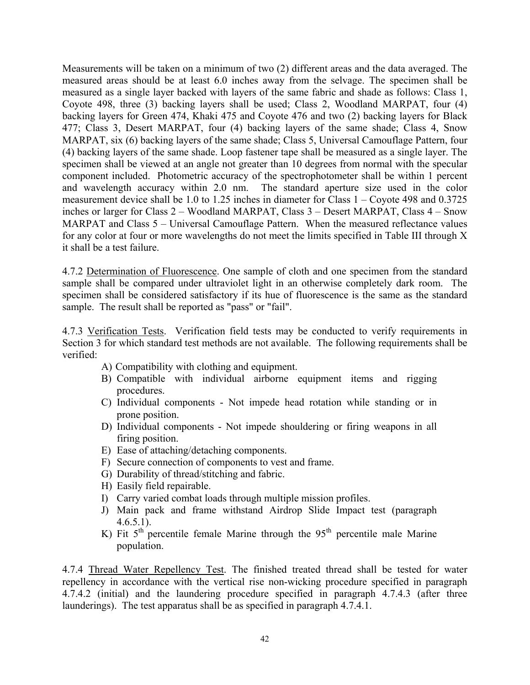Measurements will be taken on a minimum of two (2) different areas and the data averaged. The measured areas should be at least 6.0 inches away from the selvage. The specimen shall be measured as a single layer backed with layers of the same fabric and shade as follows: Class 1, Coyote 498, three (3) backing layers shall be used; Class 2, Woodland MARPAT, four (4) backing layers for Green 474, Khaki 475 and Coyote 476 and two (2) backing layers for Black 477; Class 3, Desert MARPAT, four (4) backing layers of the same shade; Class 4, Snow MARPAT, six (6) backing layers of the same shade; Class 5, Universal Camouflage Pattern, four (4) backing layers of the same shade. Loop fastener tape shall be measured as a single layer. The specimen shall be viewed at an angle not greater than 10 degrees from normal with the specular component included. Photometric accuracy of the spectrophotometer shall be within 1 percent and wavelength accuracy within 2.0 nm. The standard aperture size used in the color measurement device shall be 1.0 to 1.25 inches in diameter for Class 1 – Coyote 498 and 0.3725 inches or larger for Class 2 – Woodland MARPAT, Class 3 – Desert MARPAT, Class 4 – Snow MARPAT and Class 5 – Universal Camouflage Pattern. When the measured reflectance values for any color at four or more wavelengths do not meet the limits specified in Table III through X it shall be a test failure.

4.7.2 Determination of Fluorescence. One sample of cloth and one specimen from the standard sample shall be compared under ultraviolet light in an otherwise completely dark room. The specimen shall be considered satisfactory if its hue of fluorescence is the same as the standard sample. The result shall be reported as "pass" or "fail".

4.7.3 Verification Tests. Verification field tests may be conducted to verify requirements in Section 3 for which standard test methods are not available. The following requirements shall be verified:

- A) Compatibility with clothing and equipment.
- B) Compatible with individual airborne equipment items and rigging procedures.
- C) Individual components Not impede head rotation while standing or in prone position.
- D) Individual components Not impede shouldering or firing weapons in all firing position.
- E) Ease of attaching/detaching components.
- F) Secure connection of components to vest and frame.
- G) Durability of thread/stitching and fabric.
- H) Easily field repairable.
- I) Carry varied combat loads through multiple mission profiles.
- J) Main pack and frame withstand Airdrop Slide Impact test (paragraph  $4.6.5.1$ .
- K) Fit  $5<sup>th</sup>$  percentile female Marine through the  $95<sup>th</sup>$  percentile male Marine population.

4.7.4 Thread Water Repellency Test. The finished treated thread shall be tested for water repellency in accordance with the vertical rise non-wicking procedure specified in paragraph 4.7.4.2 (initial) and the laundering procedure specified in paragraph 4.7.4.3 (after three launderings). The test apparatus shall be as specified in paragraph 4.7.4.1.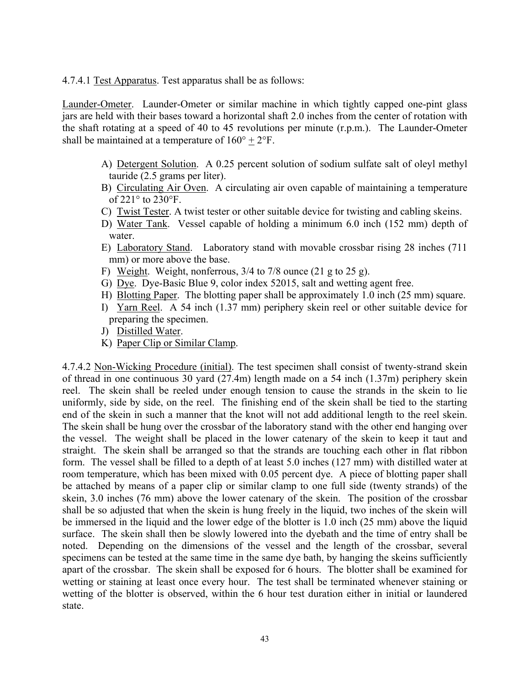4.7.4.1 Test Apparatus. Test apparatus shall be as follows:

Launder-Ometer. Launder-Ometer or similar machine in which tightly capped one-pint glass jars are held with their bases toward a horizontal shaft 2.0 inches from the center of rotation with the shaft rotating at a speed of 40 to 45 revolutions per minute (r.p.m.). The Launder-Ometer shall be maintained at a temperature of  $160^{\circ} + 2^{\circ}$ F.

- A) Detergent Solution. A 0.25 percent solution of sodium sulfate salt of oleyl methyl tauride (2.5 grams per liter).
- B) Circulating Air Oven. A circulating air oven capable of maintaining a temperature of 221° to 230°F.
- C) Twist Tester. A twist tester or other suitable device for twisting and cabling skeins.
- D) Water Tank. Vessel capable of holding a minimum 6.0 inch (152 mm) depth of water.
- E) Laboratory Stand. Laboratory stand with movable crossbar rising 28 inches (711 mm) or more above the base.
- F) Weight. Weight, nonferrous, 3/4 to 7/8 ounce (21 g to 25 g).
- G) Dye. Dye-Basic Blue 9, color index 52015, salt and wetting agent free.
- H) Blotting Paper. The blotting paper shall be approximately 1.0 inch (25 mm) square.
- I) Yarn Reel. A 54 inch (1.37 mm) periphery skein reel or other suitable device for preparing the specimen.
- J) Distilled Water.
- K) Paper Clip or Similar Clamp.

4.7.4.2 Non-Wicking Procedure (initial). The test specimen shall consist of twenty-strand skein of thread in one continuous 30 yard (27.4m) length made on a 54 inch (1.37m) periphery skein reel. The skein shall be reeled under enough tension to cause the strands in the skein to lie uniformly, side by side, on the reel. The finishing end of the skein shall be tied to the starting end of the skein in such a manner that the knot will not add additional length to the reel skein. The skein shall be hung over the crossbar of the laboratory stand with the other end hanging over the vessel. The weight shall be placed in the lower catenary of the skein to keep it taut and straight. The skein shall be arranged so that the strands are touching each other in flat ribbon form. The vessel shall be filled to a depth of at least 5.0 inches (127 mm) with distilled water at room temperature, which has been mixed with 0.05 percent dye. A piece of blotting paper shall be attached by means of a paper clip or similar clamp to one full side (twenty strands) of the skein, 3.0 inches (76 mm) above the lower catenary of the skein. The position of the crossbar shall be so adjusted that when the skein is hung freely in the liquid, two inches of the skein will be immersed in the liquid and the lower edge of the blotter is 1.0 inch (25 mm) above the liquid surface. The skein shall then be slowly lowered into the dyebath and the time of entry shall be noted. Depending on the dimensions of the vessel and the length of the crossbar, several specimens can be tested at the same time in the same dye bath, by hanging the skeins sufficiently apart of the crossbar. The skein shall be exposed for 6 hours. The blotter shall be examined for wetting or staining at least once every hour. The test shall be terminated whenever staining or wetting of the blotter is observed, within the 6 hour test duration either in initial or laundered state.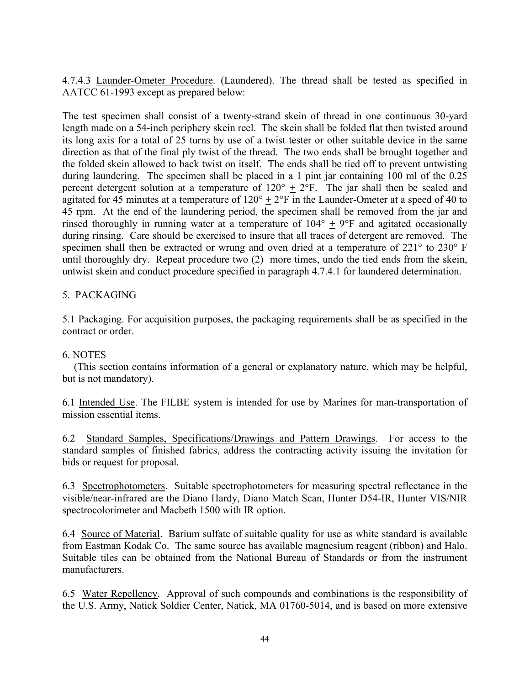4.7.4.3 Launder-Ometer Procedure. (Laundered). The thread shall be tested as specified in AATCC 61-1993 except as prepared below:

The test specimen shall consist of a twenty-strand skein of thread in one continuous 30-yard length made on a 54-inch periphery skein reel. The skein shall be folded flat then twisted around its long axis for a total of 25 turns by use of a twist tester or other suitable device in the same direction as that of the final ply twist of the thread. The two ends shall be brought together and the folded skein allowed to back twist on itself. The ends shall be tied off to prevent untwisting during laundering. The specimen shall be placed in a 1 pint jar containing 100 ml of the 0.25 percent detergent solution at a temperature of  $120^{\circ} \pm 2^{\circ}$ F. The jar shall then be sealed and agitated for 45 minutes at a temperature of  $120^{\circ} + 2^{\circ}F$  in the Launder-Ometer at a speed of 40 to 45 rpm. At the end of the laundering period, the specimen shall be removed from the jar and rinsed thoroughly in running water at a temperature of  $104^{\circ}$  + 9°F and agitated occasionally during rinsing. Care should be exercised to insure that all traces of detergent are removed. The specimen shall then be extracted or wrung and oven dried at a temperature of 221° to 230° F until thoroughly dry. Repeat procedure two (2) more times, undo the tied ends from the skein, untwist skein and conduct procedure specified in paragraph 4.7.4.1 for laundered determination.

## 5. PACKAGING

5.1 Packaging. For acquisition purposes, the packaging requirements shall be as specified in the contract or order.

### 6. NOTES

 (This section contains information of a general or explanatory nature, which may be helpful, but is not mandatory).

6.1 Intended Use. The FILBE system is intended for use by Marines for man-transportation of mission essential items.

6.2 Standard Samples, Specifications/Drawings and Pattern Drawings. For access to the standard samples of finished fabrics, address the contracting activity issuing the invitation for bids or request for proposal*.* 

6.3 Spectrophotometers. Suitable spectrophotometers for measuring spectral reflectance in the visible/near-infrared are the Diano Hardy, Diano Match Scan, Hunter D54-IR, Hunter VIS/NIR spectrocolorimeter and Macbeth 1500 with IR option.

6.4 Source of Material. Barium sulfate of suitable quality for use as white standard is available from Eastman Kodak Co. The same source has available magnesium reagent (ribbon) and Halo. Suitable tiles can be obtained from the National Bureau of Standards or from the instrument manufacturers.

6.5 Water Repellency. Approval of such compounds and combinations is the responsibility of the U.S. Army, Natick Soldier Center, Natick, MA 01760-5014, and is based on more extensive